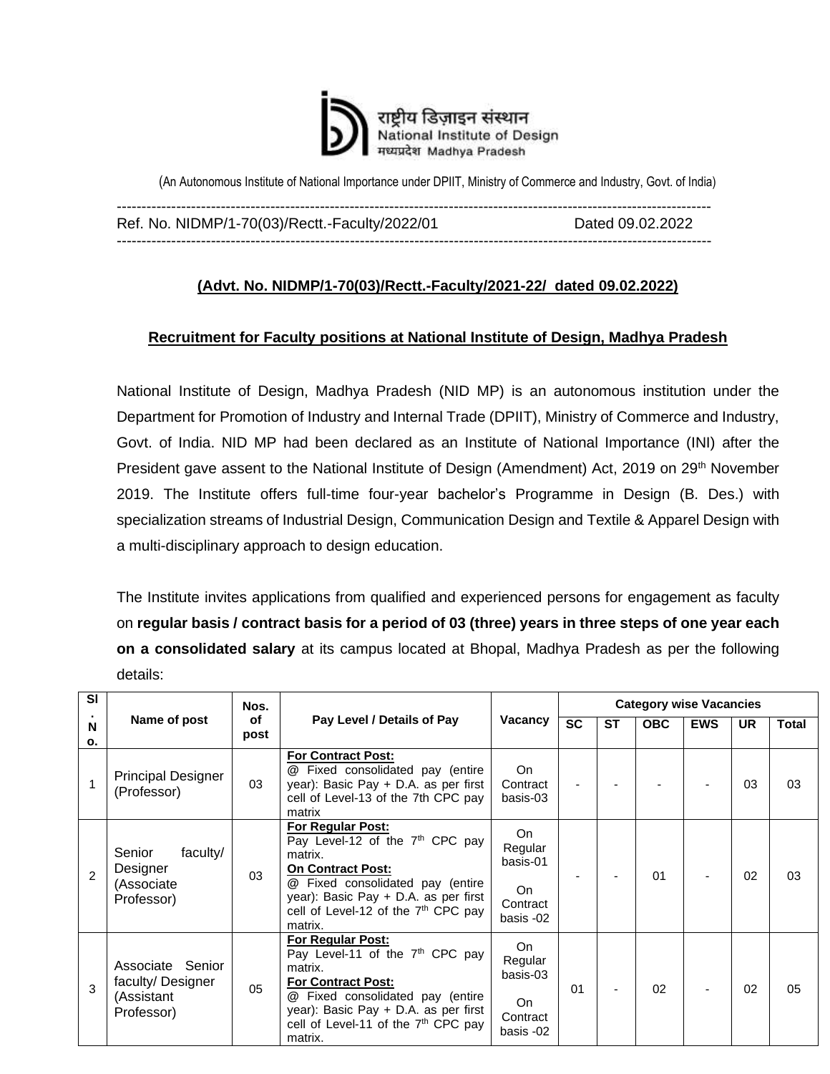

(An Autonomous Institute of National Importance under DPIIT, Ministry of Commerce and Industry, Govt. of India)

------------------------------------------------------------------------------------------------------------------------ Ref. No. NIDMP/1-70(03)/Rectt.-Faculty/2022/01 Dated 09.02.2022 ------------------------------------------------------------------------------------------------------------------------

## **(Advt. No. NIDMP/1-70(03)/Rectt.-Faculty/2021-22/ dated 09.02.2022)**

## **Recruitment for Faculty positions at National Institute of Design, Madhya Pradesh**

National Institute of Design, Madhya Pradesh (NID MP) is an autonomous institution under the Department for Promotion of Industry and Internal Trade (DPIIT), Ministry of Commerce and Industry, Govt. of India. NID MP had been declared as an Institute of National Importance (INI) after the President gave assent to the National Institute of Design (Amendment) Act, 2019 on 29<sup>th</sup> November 2019. The Institute offers full-time four-year bachelor's Programme in Design (B. Des.) with specialization streams of Industrial Design, Communication Design and Textile & Apparel Design with a multi-disciplinary approach to design education.

The Institute invites applications from qualified and experienced persons for engagement as faculty on **regular basis / contract basis for a period of 03 (three) years in three steps of one year each on a consolidated salary** at its campus located at Bhopal, Madhya Pradesh as per the following details:

| <b>SI</b>      |                                                                     | Nos.       |                                                                                                                                                                                                                                                                  |                                                           |           | <b>Category wise Vacancies</b> |            |           |       |    |  |  |
|----------------|---------------------------------------------------------------------|------------|------------------------------------------------------------------------------------------------------------------------------------------------------------------------------------------------------------------------------------------------------------------|-----------------------------------------------------------|-----------|--------------------------------|------------|-----------|-------|----|--|--|
| N<br>о.        | Name of post                                                        | of<br>post | Pay Level / Details of Pay                                                                                                                                                                                                                                       | <b>SC</b>                                                 | <b>ST</b> | <b>OBC</b>                     | <b>EWS</b> | <b>UR</b> | Total |    |  |  |
|                | <b>Principal Designer</b><br>(Professor)                            | 03         | <b>For Contract Post:</b><br>@ Fixed consolidated pay (entire<br>year): Basic Pay + D.A. as per first<br>cell of Level-13 of the 7th CPC pay<br>matrix                                                                                                           | On.<br>Contract<br>basis-03                               |           |                                |            |           | 03    | 03 |  |  |
| $\mathfrak{p}$ | faculty/<br>Senior<br>Designer<br>(Associate<br>Professor)          | 03         | <b>For Regular Post:</b><br>Pay Level-12 of the 7 <sup>th</sup> CPC pay<br>matrix.<br><b>On Contract Post:</b><br><b>@</b> Fixed consolidated pay (entire<br>year): Basic Pay + D.A. as per first<br>cell of Level-12 of the 7 <sup>th</sup> CPC pay<br>matrix.  | On<br>Regular<br>basis-01<br>On.<br>Contract<br>basis -02 |           |                                | 01         |           | 02    | 03 |  |  |
| 3              | Senior<br>Associate<br>faculty/Designer<br>(Assistant<br>Professor) | 05         | <b>For Regular Post:</b><br>Pay Level-11 of the 7 <sup>th</sup> CPC pay<br>matrix.<br><b>For Contract Post:</b><br><b>@</b> Fixed consolidated pay (entire<br>year): Basic Pay + D.A. as per first<br>cell of Level-11 of the 7 <sup>th</sup> CPC pay<br>matrix. | On.<br>Regular<br>basis-03<br>On<br>Contract<br>basis -02 | 01        |                                | 02         |           | 02    | 05 |  |  |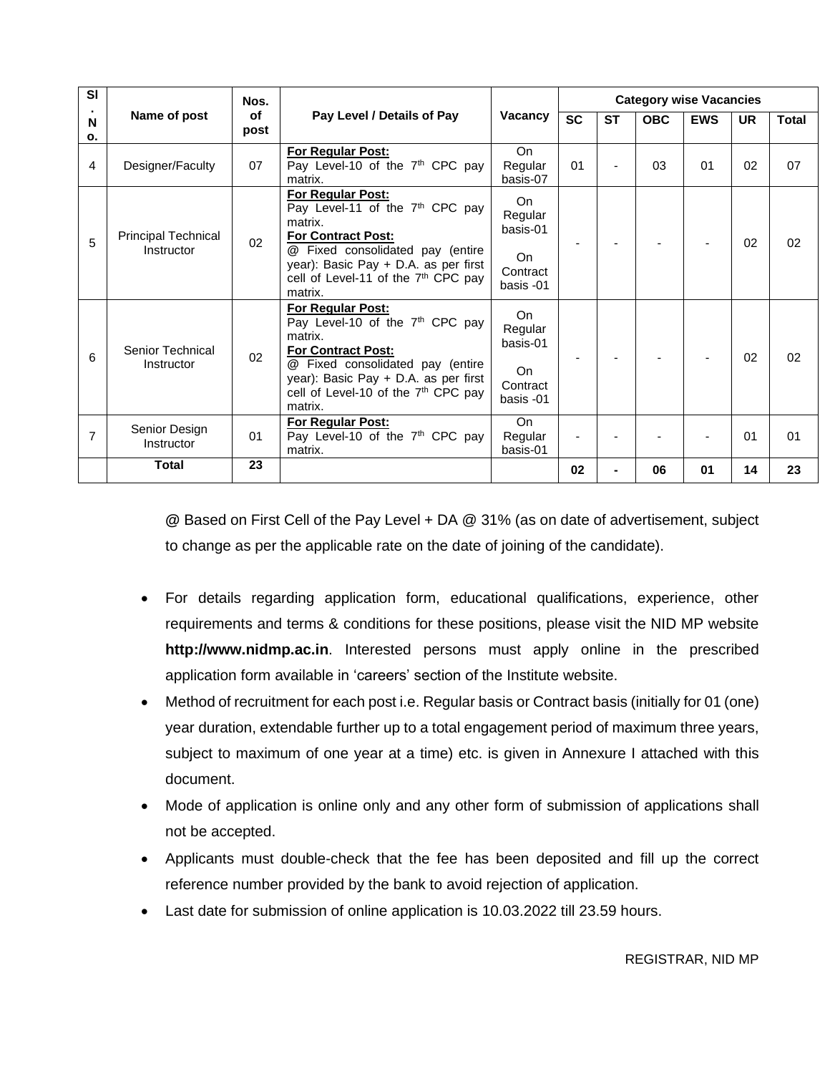| <b>SI</b>      | Nos.                                     |            |                                                                                                                                                                                                                                                    |                                                          | <b>Category wise Vacancies</b> |                |            |            |           |       |  |
|----------------|------------------------------------------|------------|----------------------------------------------------------------------------------------------------------------------------------------------------------------------------------------------------------------------------------------------------|----------------------------------------------------------|--------------------------------|----------------|------------|------------|-----------|-------|--|
| N<br>о.        | Name of post                             | οf<br>post | Pay Level / Details of Pay                                                                                                                                                                                                                         | Vacancy                                                  | <b>SC</b>                      | <b>ST</b>      | <b>OBC</b> | <b>EWS</b> | <b>UR</b> | Total |  |
| 4              | Designer/Faculty                         | 07         | <b>For Regular Post:</b><br>Pay Level-10 of the 7 <sup>th</sup> CPC pay<br>matrix.                                                                                                                                                                 | On.<br>Regular<br>basis-07                               | 01                             |                | 03         | 01         | 02        | 07    |  |
| 5              | <b>Principal Technical</b><br>Instructor | 02         | <b>For Regular Post:</b><br>Pay Level-11 of the 7 <sup>th</sup> CPC pay<br>matrix.<br>For Contract Post:<br>@ Fixed consolidated pay (entire<br>year): Basic Pay + D.A. as per first<br>cell of Level-11 of the 7 <sup>th</sup> CPC pay<br>matrix. | On<br>Regular<br>basis-01<br>On<br>Contract<br>basis -01 |                                |                |            |            | 02        | 02    |  |
| 6              | Senior Technical<br>Instructor           | 02         | For Regular Post:<br>Pay Level-10 of the 7 <sup>th</sup> CPC pay<br>matrix.<br>For Contract Post:<br><b>@</b> Fixed consolidated pay (entire<br>year): Basic Pay + D.A. as per first<br>cell of Level-10 of the $7th$ CPC pay<br>matrix.           | On<br>Regular<br>basis-01<br>On<br>Contract<br>basis -01 |                                |                |            |            | 02        | 02    |  |
| $\overline{7}$ | Senior Design<br>Instructor              | 01         | <b>For Regular Post:</b><br>Pay Level-10 of the 7 <sup>th</sup> CPC pay<br>matrix.                                                                                                                                                                 | <b>On</b><br>Regular<br>basis-01                         |                                |                |            |            | 01        | 01    |  |
|                | <b>Total</b>                             | 23         |                                                                                                                                                                                                                                                    |                                                          | 02                             | $\blacksquare$ | 06         | 01         | 14        | 23    |  |

**@** Based on First Cell of the Pay Level + DA @ 31% (as on date of advertisement, subject to change as per the applicable rate on the date of joining of the candidate).

- For details regarding application form, educational qualifications, experience, other requirements and terms & conditions for these positions, please visit the NID MP website **http://www.nidmp.ac.in**. Interested persons must apply online in the prescribed application form available in 'careers' section of the Institute website.
- Method of recruitment for each post i.e. Regular basis or Contract basis (initially for 01 (one) year duration, extendable further up to a total engagement period of maximum three years, subject to maximum of one year at a time) etc. is given in Annexure I attached with this document.
- Mode of application is online only and any other form of submission of applications shall not be accepted.
- Applicants must double-check that the fee has been deposited and fill up the correct reference number provided by the bank to avoid rejection of application.
- Last date for submission of online application is 10.03.2022 till 23.59 hours.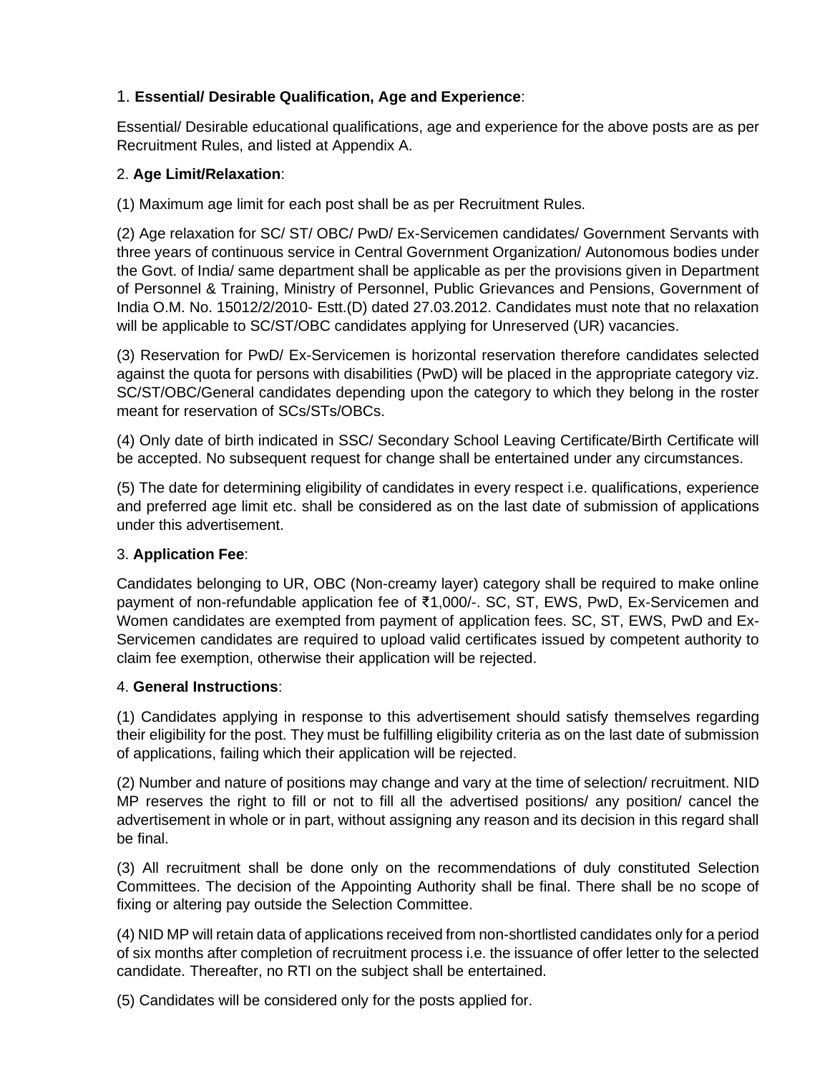## 1. **Essential/ Desirable Qualification, Age and Experience**:

Essential/ Desirable educational qualifications, age and experience for the above posts are as per Recruitment Rules, and listed at Appendix A.

## 2. **Age Limit/Relaxation**:

(1) Maximum age limit for each post shall be as per Recruitment Rules.

(2) Age relaxation for SC/ ST/ OBC/ PwD/ Ex-Servicemen candidates/ Government Servants with three years of continuous service in Central Government Organization/ Autonomous bodies under the Govt. of India/ same department shall be applicable as per the provisions given in Department of Personnel & Training, Ministry of Personnel, Public Grievances and Pensions, Government of India O.M. No. 15012/2/2010- Estt.(D) dated 27.03.2012. Candidates must note that no relaxation will be applicable to SC/ST/OBC candidates applying for Unreserved (UR) vacancies.

(3) Reservation for PwD/ Ex-Servicemen is horizontal reservation therefore candidates selected against the quota for persons with disabilities (PwD) will be placed in the appropriate category viz. SC/ST/OBC/General candidates depending upon the category to which they belong in the roster meant for reservation of SCs/STs/OBCs.

(4) Only date of birth indicated in SSC/ Secondary School Leaving Certificate/Birth Certificate will be accepted. No subsequent request for change shall be entertained under any circumstances.

(5) The date for determining eligibility of candidates in every respect i.e. qualifications, experience and preferred age limit etc. shall be considered as on the last date of submission of applications under this advertisement.

## 3. **Application Fee**:

Candidates belonging to UR, OBC (Non-creamy layer) category shall be required to make online payment of non-refundable application fee of ₹1,000/-. SC, ST, EWS, PwD, Ex-Servicemen and Women candidates are exempted from payment of application fees. SC, ST, EWS, PwD and Ex-Servicemen candidates are required to upload valid certificates issued by competent authority to claim fee exemption, otherwise their application will be rejected.

## 4. **General Instructions**:

(1) Candidates applying in response to this advertisement should satisfy themselves regarding their eligibility for the post. They must be fulfilling eligibility criteria as on the last date of submission of applications, failing which their application will be rejected.

(2) Number and nature of positions may change and vary at the time of selection/ recruitment. NID MP reserves the right to fill or not to fill all the advertised positions/ any position/ cancel the advertisement in whole or in part, without assigning any reason and its decision in this regard shall be final.

(3) All recruitment shall be done only on the recommendations of duly constituted Selection Committees. The decision of the Appointing Authority shall be final. There shall be no scope of fixing or altering pay outside the Selection Committee.

(4) NID MP will retain data of applications received from non-shortlisted candidates only for a period of six months after completion of recruitment process i.e. the issuance of offer letter to the selected candidate. Thereafter, no RTI on the subject shall be entertained.

(5) Candidates will be considered only for the posts applied for.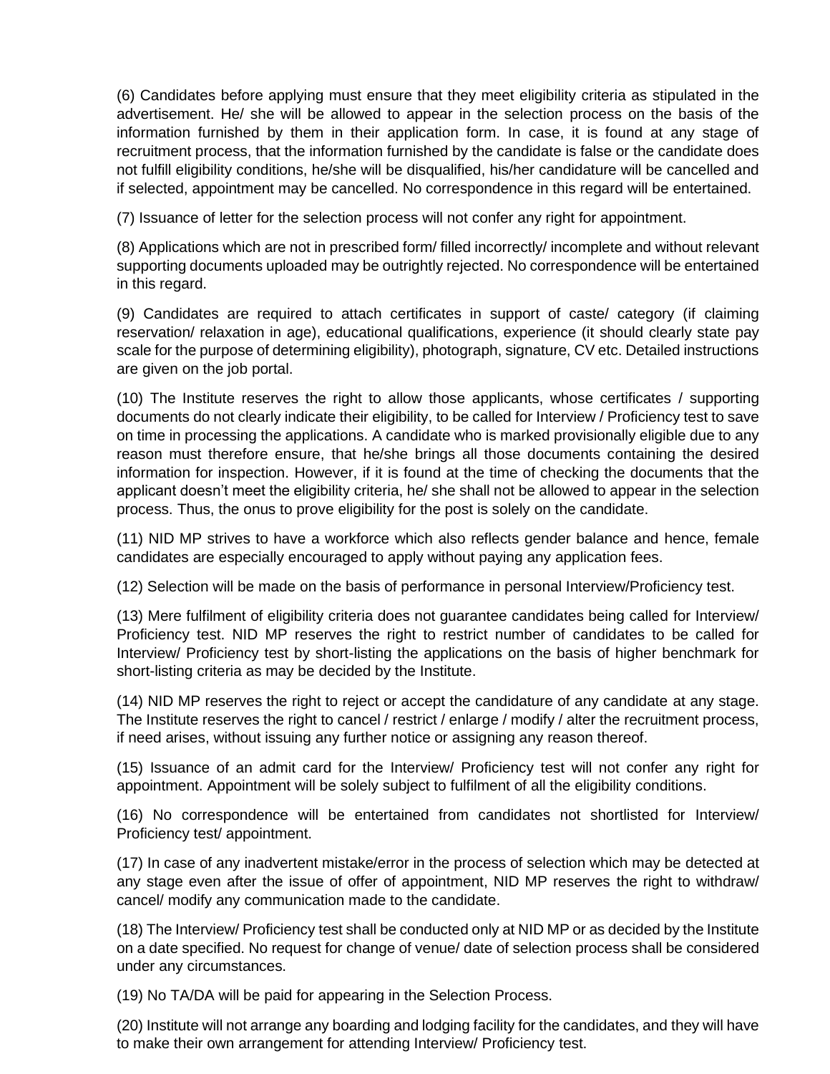(6) Candidates before applying must ensure that they meet eligibility criteria as stipulated in the advertisement. He/ she will be allowed to appear in the selection process on the basis of the information furnished by them in their application form. In case, it is found at any stage of recruitment process, that the information furnished by the candidate is false or the candidate does not fulfill eligibility conditions, he/she will be disqualified, his/her candidature will be cancelled and if selected, appointment may be cancelled. No correspondence in this regard will be entertained.

(7) Issuance of letter for the selection process will not confer any right for appointment.

(8) Applications which are not in prescribed form/ filled incorrectly/ incomplete and without relevant supporting documents uploaded may be outrightly rejected. No correspondence will be entertained in this regard.

(9) Candidates are required to attach certificates in support of caste/ category (if claiming reservation/ relaxation in age), educational qualifications, experience (it should clearly state pay scale for the purpose of determining eligibility), photograph, signature, CV etc. Detailed instructions are given on the job portal.

(10) The Institute reserves the right to allow those applicants, whose certificates / supporting documents do not clearly indicate their eligibility, to be called for Interview / Proficiency test to save on time in processing the applications. A candidate who is marked provisionally eligible due to any reason must therefore ensure, that he/she brings all those documents containing the desired information for inspection. However, if it is found at the time of checking the documents that the applicant doesn't meet the eligibility criteria, he/ she shall not be allowed to appear in the selection process. Thus, the onus to prove eligibility for the post is solely on the candidate.

(11) NID MP strives to have a workforce which also reflects gender balance and hence, female candidates are especially encouraged to apply without paying any application fees.

(12) Selection will be made on the basis of performance in personal Interview/Proficiency test.

(13) Mere fulfilment of eligibility criteria does not guarantee candidates being called for Interview/ Proficiency test. NID MP reserves the right to restrict number of candidates to be called for Interview/ Proficiency test by short-listing the applications on the basis of higher benchmark for short-listing criteria as may be decided by the Institute.

(14) NID MP reserves the right to reject or accept the candidature of any candidate at any stage. The Institute reserves the right to cancel / restrict / enlarge / modify / alter the recruitment process, if need arises, without issuing any further notice or assigning any reason thereof.

(15) Issuance of an admit card for the Interview/ Proficiency test will not confer any right for appointment. Appointment will be solely subject to fulfilment of all the eligibility conditions.

(16) No correspondence will be entertained from candidates not shortlisted for Interview/ Proficiency test/ appointment.

(17) In case of any inadvertent mistake/error in the process of selection which may be detected at any stage even after the issue of offer of appointment, NID MP reserves the right to withdraw/ cancel/ modify any communication made to the candidate.

(18) The Interview/ Proficiency test shall be conducted only at NID MP or as decided by the Institute on a date specified. No request for change of venue/ date of selection process shall be considered under any circumstances.

(19) No TA/DA will be paid for appearing in the Selection Process.

(20) Institute will not arrange any boarding and lodging facility for the candidates, and they will have to make their own arrangement for attending Interview/ Proficiency test.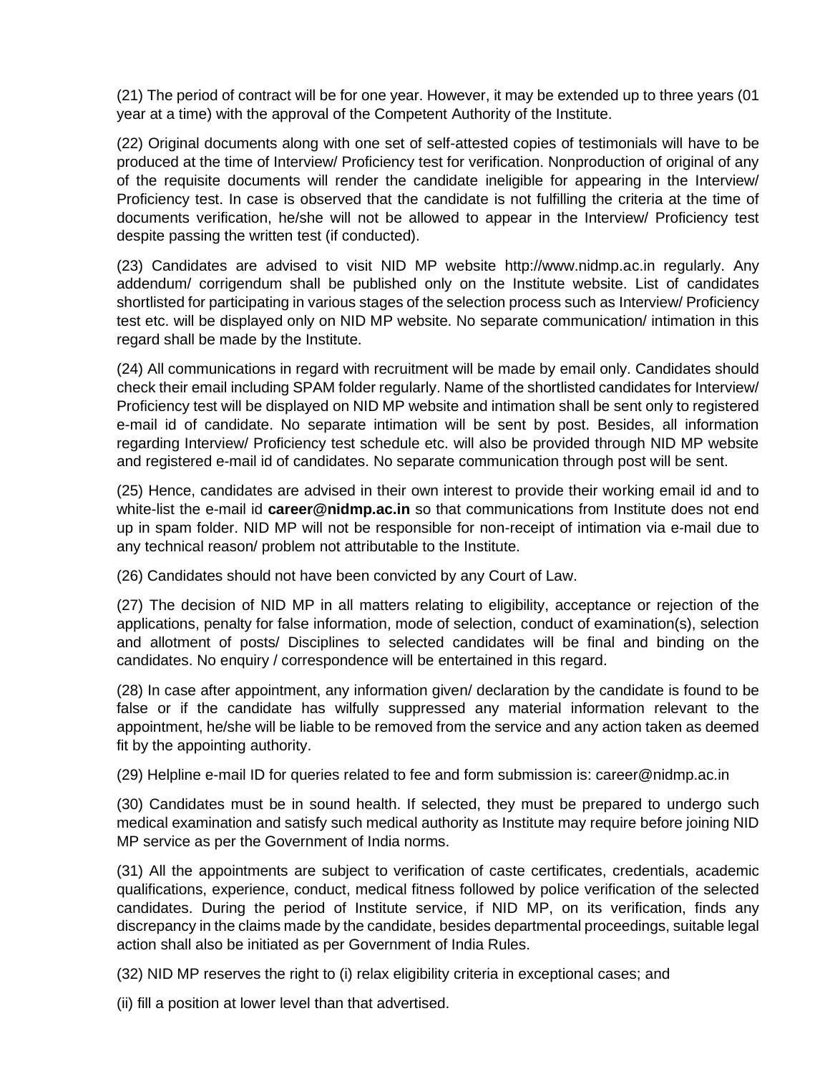(21) The period of contract will be for one year. However, it may be extended up to three years (01 year at a time) with the approval of the Competent Authority of the Institute.

(22) Original documents along with one set of self-attested copies of testimonials will have to be produced at the time of Interview/ Proficiency test for verification. Nonproduction of original of any of the requisite documents will render the candidate ineligible for appearing in the Interview/ Proficiency test. In case is observed that the candidate is not fulfilling the criteria at the time of documents verification, he/she will not be allowed to appear in the Interview/ Proficiency test despite passing the written test (if conducted).

(23) Candidates are advised to visit NID MP website http://www.nidmp.ac.in regularly. Any addendum/ corrigendum shall be published only on the Institute website. List of candidates shortlisted for participating in various stages of the selection process such as Interview/ Proficiency test etc. will be displayed only on NID MP website. No separate communication/ intimation in this regard shall be made by the Institute.

(24) All communications in regard with recruitment will be made by email only. Candidates should check their email including SPAM folder regularly. Name of the shortlisted candidates for Interview/ Proficiency test will be displayed on NID MP website and intimation shall be sent only to registered e-mail id of candidate. No separate intimation will be sent by post. Besides, all information regarding Interview/ Proficiency test schedule etc. will also be provided through NID MP website and registered e-mail id of candidates. No separate communication through post will be sent.

(25) Hence, candidates are advised in their own interest to provide their working email id and to white-list the e-mail id **career@nidmp.ac.in** so that communications from Institute does not end up in spam folder. NID MP will not be responsible for non-receipt of intimation via e-mail due to any technical reason/ problem not attributable to the Institute.

(26) Candidates should not have been convicted by any Court of Law.

(27) The decision of NID MP in all matters relating to eligibility, acceptance or rejection of the applications, penalty for false information, mode of selection, conduct of examination(s), selection and allotment of posts/ Disciplines to selected candidates will be final and binding on the candidates. No enquiry / correspondence will be entertained in this regard.

(28) In case after appointment, any information given/ declaration by the candidate is found to be false or if the candidate has wilfully suppressed any material information relevant to the appointment, he/she will be liable to be removed from the service and any action taken as deemed fit by the appointing authority.

(29) Helpline e-mail ID for queries related to fee and form submission is: career@nidmp.ac.in

(30) Candidates must be in sound health. If selected, they must be prepared to undergo such medical examination and satisfy such medical authority as Institute may require before joining NID MP service as per the Government of India norms.

(31) All the appointments are subject to verification of caste certificates, credentials, academic qualifications, experience, conduct, medical fitness followed by police verification of the selected candidates. During the period of Institute service, if NID MP, on its verification, finds any discrepancy in the claims made by the candidate, besides departmental proceedings, suitable legal action shall also be initiated as per Government of India Rules.

(32) NID MP reserves the right to (i) relax eligibility criteria in exceptional cases; and

(ii) fill a position at lower level than that advertised.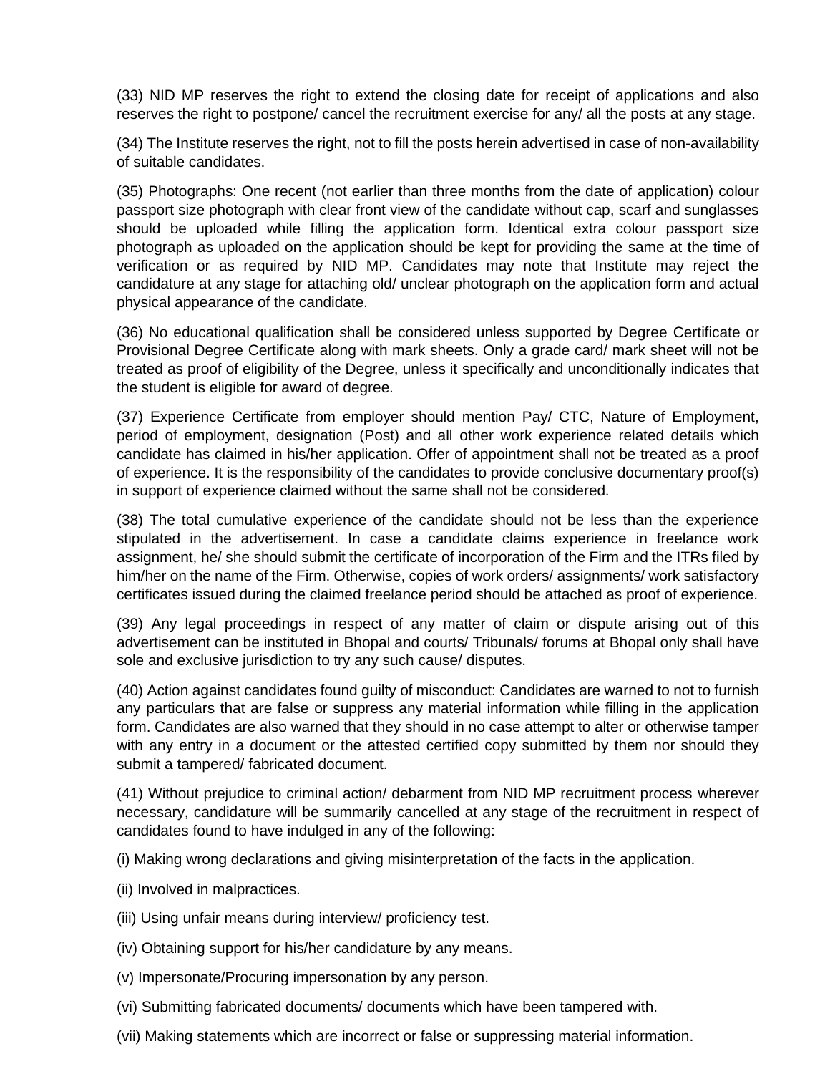(33) NID MP reserves the right to extend the closing date for receipt of applications and also reserves the right to postpone/ cancel the recruitment exercise for any/ all the posts at any stage.

(34) The Institute reserves the right, not to fill the posts herein advertised in case of non-availability of suitable candidates.

(35) Photographs: One recent (not earlier than three months from the date of application) colour passport size photograph with clear front view of the candidate without cap, scarf and sunglasses should be uploaded while filling the application form. Identical extra colour passport size photograph as uploaded on the application should be kept for providing the same at the time of verification or as required by NID MP. Candidates may note that Institute may reject the candidature at any stage for attaching old/ unclear photograph on the application form and actual physical appearance of the candidate.

(36) No educational qualification shall be considered unless supported by Degree Certificate or Provisional Degree Certificate along with mark sheets. Only a grade card/ mark sheet will not be treated as proof of eligibility of the Degree, unless it specifically and unconditionally indicates that the student is eligible for award of degree.

(37) Experience Certificate from employer should mention Pay/ CTC, Nature of Employment, period of employment, designation (Post) and all other work experience related details which candidate has claimed in his/her application. Offer of appointment shall not be treated as a proof of experience. It is the responsibility of the candidates to provide conclusive documentary proof(s) in support of experience claimed without the same shall not be considered.

(38) The total cumulative experience of the candidate should not be less than the experience stipulated in the advertisement. In case a candidate claims experience in freelance work assignment, he/ she should submit the certificate of incorporation of the Firm and the ITRs filed by him/her on the name of the Firm. Otherwise, copies of work orders/ assignments/ work satisfactory certificates issued during the claimed freelance period should be attached as proof of experience.

(39) Any legal proceedings in respect of any matter of claim or dispute arising out of this advertisement can be instituted in Bhopal and courts/ Tribunals/ forums at Bhopal only shall have sole and exclusive jurisdiction to try any such cause/ disputes.

(40) Action against candidates found guilty of misconduct: Candidates are warned to not to furnish any particulars that are false or suppress any material information while filling in the application form. Candidates are also warned that they should in no case attempt to alter or otherwise tamper with any entry in a document or the attested certified copy submitted by them nor should they submit a tampered/ fabricated document.

(41) Without prejudice to criminal action/ debarment from NID MP recruitment process wherever necessary, candidature will be summarily cancelled at any stage of the recruitment in respect of candidates found to have indulged in any of the following:

(i) Making wrong declarations and giving misinterpretation of the facts in the application.

- (ii) Involved in malpractices.
- (iii) Using unfair means during interview/ proficiency test.
- (iv) Obtaining support for his/her candidature by any means.
- (v) Impersonate/Procuring impersonation by any person.
- (vi) Submitting fabricated documents/ documents which have been tampered with.
- (vii) Making statements which are incorrect or false or suppressing material information.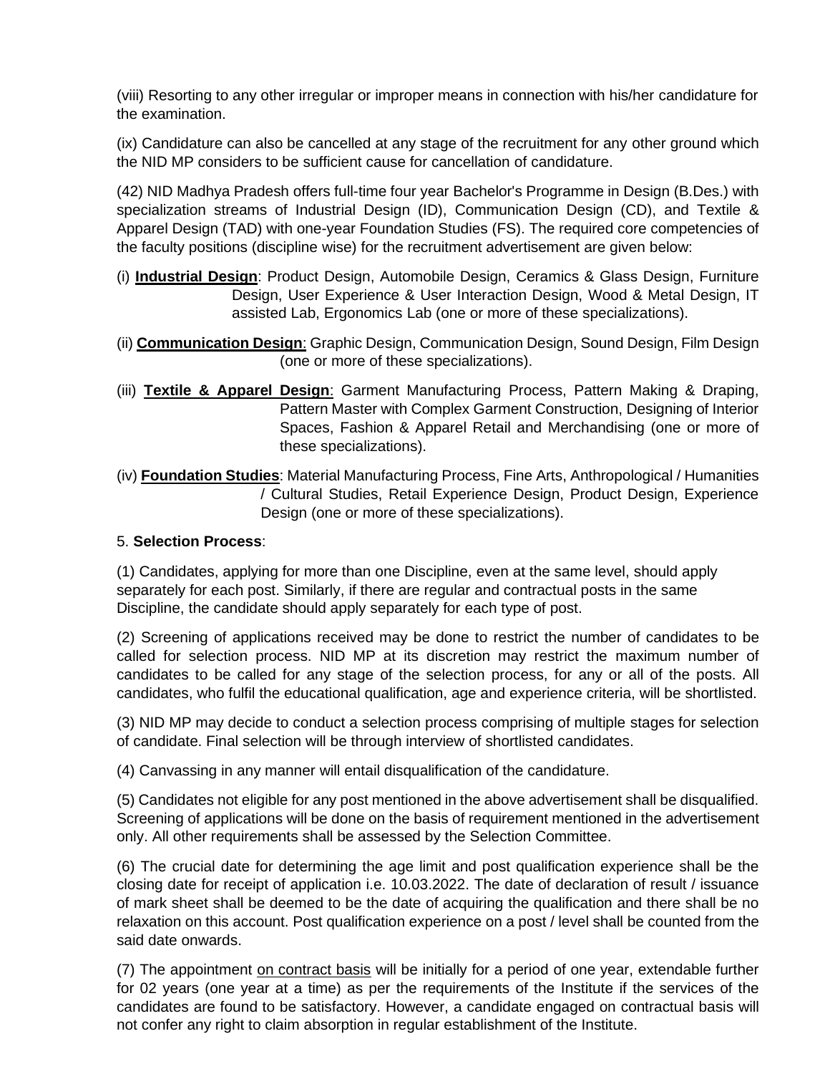(viii) Resorting to any other irregular or improper means in connection with his/her candidature for the examination.

(ix) Candidature can also be cancelled at any stage of the recruitment for any other ground which the NID MP considers to be sufficient cause for cancellation of candidature.

(42) NID Madhya Pradesh offers full-time four year Bachelor's Programme in Design (B.Des.) with specialization streams of Industrial Design (ID), Communication Design (CD), and Textile & Apparel Design (TAD) with one-year Foundation Studies (FS). The required core competencies of the faculty positions (discipline wise) for the recruitment advertisement are given below:

- (i) **Industrial Design**: Product Design, Automobile Design, Ceramics & Glass Design, Furniture Design, User Experience & User Interaction Design, Wood & Metal Design, IT assisted Lab, Ergonomics Lab (one or more of these specializations).
- (ii) **Communication Design**: Graphic Design, Communication Design, Sound Design, Film Design (one or more of these specializations).
- (iii) **Textile & Apparel Design**: Garment Manufacturing Process, Pattern Making & Draping, Pattern Master with Complex Garment Construction, Designing of Interior Spaces, Fashion & Apparel Retail and Merchandising (one or more of these specializations).
- (iv) **Foundation Studies**: Material Manufacturing Process, Fine Arts, Anthropological / Humanities / Cultural Studies, Retail Experience Design, Product Design, Experience Design (one or more of these specializations).

## 5. **Selection Process**:

(1) Candidates, applying for more than one Discipline, even at the same level, should apply separately for each post. Similarly, if there are regular and contractual posts in the same Discipline, the candidate should apply separately for each type of post.

(2) Screening of applications received may be done to restrict the number of candidates to be called for selection process. NID MP at its discretion may restrict the maximum number of candidates to be called for any stage of the selection process, for any or all of the posts. All candidates, who fulfil the educational qualification, age and experience criteria, will be shortlisted.

(3) NID MP may decide to conduct a selection process comprising of multiple stages for selection of candidate. Final selection will be through interview of shortlisted candidates.

(4) Canvassing in any manner will entail disqualification of the candidature.

(5) Candidates not eligible for any post mentioned in the above advertisement shall be disqualified. Screening of applications will be done on the basis of requirement mentioned in the advertisement only. All other requirements shall be assessed by the Selection Committee.

(6) The crucial date for determining the age limit and post qualification experience shall be the closing date for receipt of application i.e. 10.03.2022. The date of declaration of result / issuance of mark sheet shall be deemed to be the date of acquiring the qualification and there shall be no relaxation on this account. Post qualification experience on a post / level shall be counted from the said date onwards.

(7) The appointment on contract basis will be initially for a period of one year, extendable further for 02 years (one year at a time) as per the requirements of the Institute if the services of the candidates are found to be satisfactory. However, a candidate engaged on contractual basis will not confer any right to claim absorption in regular establishment of the Institute.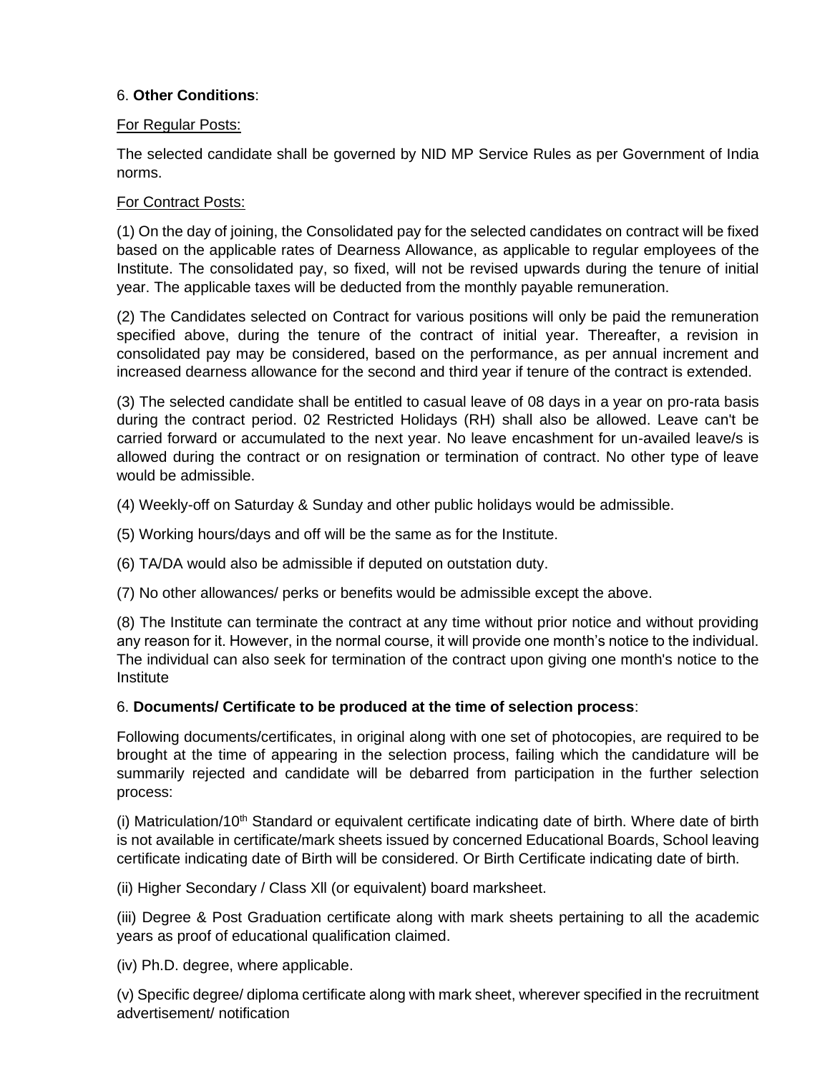## 6. **Other Conditions**:

## For Regular Posts:

The selected candidate shall be governed by NID MP Service Rules as per Government of India norms.

## For Contract Posts:

(1) On the day of joining, the Consolidated pay for the selected candidates on contract will be fixed based on the applicable rates of Dearness Allowance, as applicable to regular employees of the Institute. The consolidated pay, so fixed, will not be revised upwards during the tenure of initial year. The applicable taxes will be deducted from the monthly payable remuneration.

(2) The Candidates selected on Contract for various positions will only be paid the remuneration specified above, during the tenure of the contract of initial year. Thereafter, a revision in consolidated pay may be considered, based on the performance, as per annual increment and increased dearness allowance for the second and third year if tenure of the contract is extended.

(3) The selected candidate shall be entitled to casual leave of 08 days in a year on pro-rata basis during the contract period. 02 Restricted Holidays (RH) shall also be allowed. Leave can't be carried forward or accumulated to the next year. No leave encashment for un-availed leave/s is allowed during the contract or on resignation or termination of contract. No other type of leave would be admissible.

(4) Weekly-off on Saturday & Sunday and other public holidays would be admissible.

(5) Working hours/days and off will be the same as for the Institute.

(6) TA/DA would also be admissible if deputed on outstation duty.

(7) No other allowances/ perks or benefits would be admissible except the above.

(8) The Institute can terminate the contract at any time without prior notice and without providing any reason for it. However, in the normal course, it will provide one month's notice to the individual. The individual can also seek for termination of the contract upon giving one month's notice to the **Institute** 

## 6. **Documents/ Certificate to be produced at the time of selection process**:

Following documents/certificates, in original along with one set of photocopies, are required to be brought at the time of appearing in the selection process, failing which the candidature will be summarily rejected and candidate will be debarred from participation in the further selection process:

(i) Matriculation/10<sup>th</sup> Standard or equivalent certificate indicating date of birth. Where date of birth is not available in certificate/mark sheets issued by concerned Educational Boards, School leaving certificate indicating date of Birth will be considered. Or Birth Certificate indicating date of birth.

(ii) Higher Secondary / Class Xll (or equivalent) board marksheet.

(iii) Degree & Post Graduation certificate along with mark sheets pertaining to all the academic years as proof of educational qualification claimed.

(iv) Ph.D. degree, where applicable.

(v) Specific degree/ diploma certificate along with mark sheet, wherever specified in the recruitment advertisement/ notification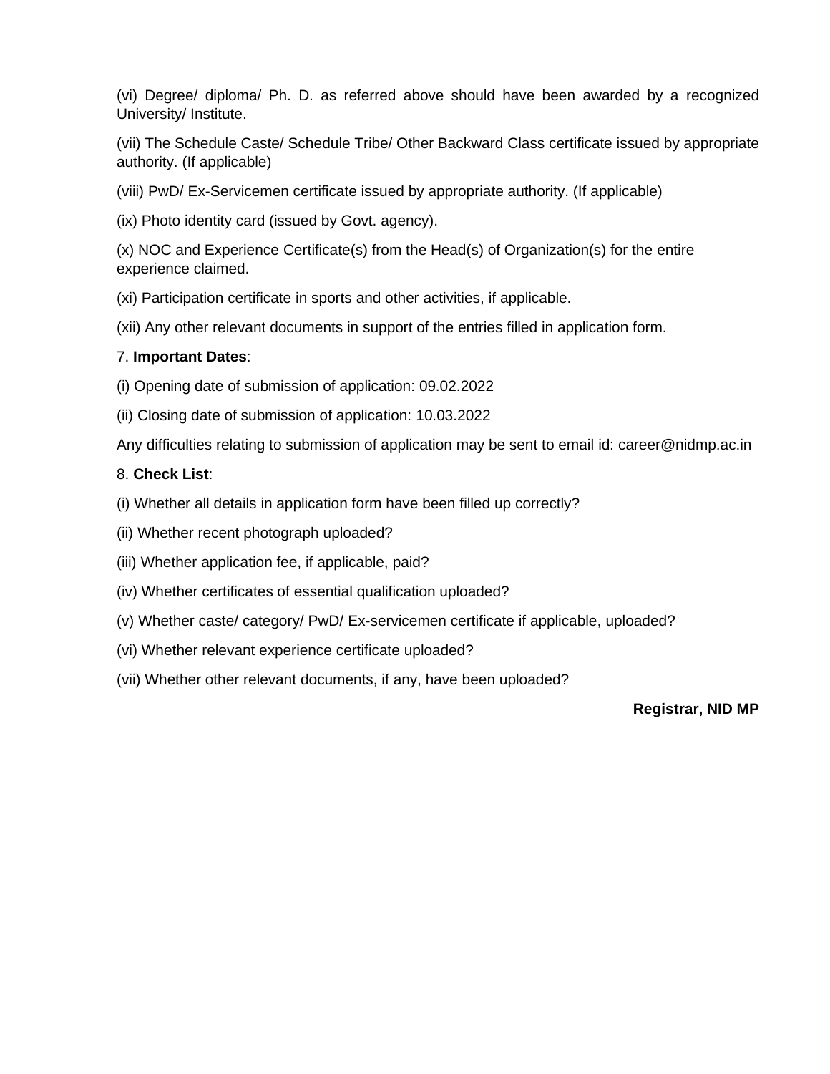(vi) Degree/ diploma/ Ph. D. as referred above should have been awarded by a recognized University/ Institute.

(vii) The Schedule Caste/ Schedule Tribe/ Other Backward Class certificate issued by appropriate authority. (If applicable)

(viii) PwD/ Ex-Servicemen certificate issued by appropriate authority. (If applicable)

(ix) Photo identity card (issued by Govt. agency).

(x) NOC and Experience Certificate(s) from the Head(s) of Organization(s) for the entire experience claimed.

(xi) Participation certificate in sports and other activities, if applicable.

(xii) Any other relevant documents in support of the entries filled in application form.

## 7. **Important Dates**:

(i) Opening date of submission of application: 09.02.2022

(ii) Closing date of submission of application: 10.03.2022

Any difficulties relating to submission of application may be sent to email id: career@nidmp.ac.in

## 8. **Check List**:

- (i) Whether all details in application form have been filled up correctly?
- (ii) Whether recent photograph uploaded?
- (iii) Whether application fee, if applicable, paid?
- (iv) Whether certificates of essential qualification uploaded?
- (v) Whether caste/ category/ PwD/ Ex-servicemen certificate if applicable, uploaded?
- (vi) Whether relevant experience certificate uploaded?
- (vii) Whether other relevant documents, if any, have been uploaded?

## **Registrar, NID MP**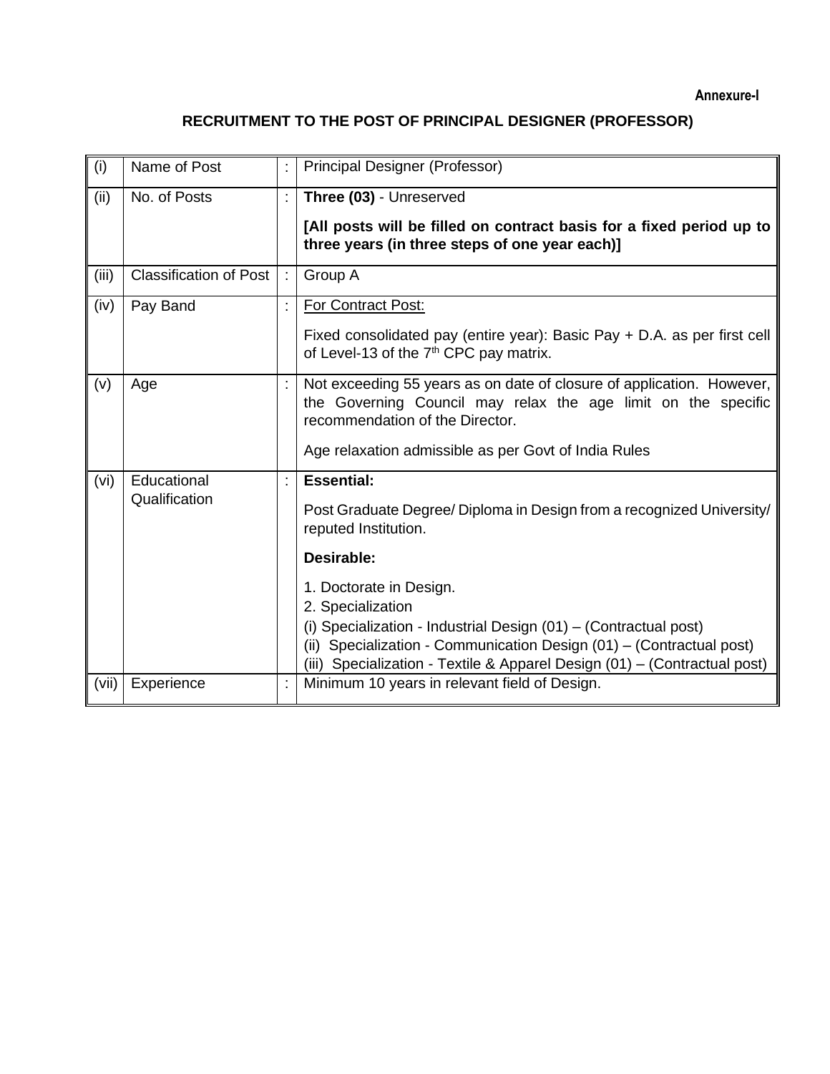**Annexure-I**

# **RECRUITMENT TO THE POST OF PRINCIPAL DESIGNER (PROFESSOR)**

| (i)   | Name of Post                  | <b>Principal Designer (Professor)</b>                                                                                                                                                                                                                                                                                                                                                                     |
|-------|-------------------------------|-----------------------------------------------------------------------------------------------------------------------------------------------------------------------------------------------------------------------------------------------------------------------------------------------------------------------------------------------------------------------------------------------------------|
| (ii)  | No. of Posts                  | Three (03) - Unreserved<br>[All posts will be filled on contract basis for a fixed period up to<br>three years (in three steps of one year each)]                                                                                                                                                                                                                                                         |
| (iii) | <b>Classification of Post</b> | Group A                                                                                                                                                                                                                                                                                                                                                                                                   |
| (iv)  | Pay Band                      | For Contract Post:<br>Fixed consolidated pay (entire year): Basic Pay + D.A. as per first cell<br>of Level-13 of the 7 <sup>th</sup> CPC pay matrix.                                                                                                                                                                                                                                                      |
| (v)   | Age                           | Not exceeding 55 years as on date of closure of application. However,<br>the Governing Council may relax the age limit on the specific<br>recommendation of the Director.<br>Age relaxation admissible as per Govt of India Rules                                                                                                                                                                         |
| (vi)  | Educational<br>Qualification  | <b>Essential:</b><br>Post Graduate Degree/ Diploma in Design from a recognized University/<br>reputed Institution.<br>Desirable:<br>1. Doctorate in Design.<br>2. Specialization<br>(i) Specialization - Industrial Design (01) - (Contractual post)<br>(ii) Specialization - Communication Design (01) - (Contractual post)<br>(iii) Specialization - Textile & Apparel Design (01) - (Contractual post) |
| (vii) | Experience                    | Minimum 10 years in relevant field of Design.                                                                                                                                                                                                                                                                                                                                                             |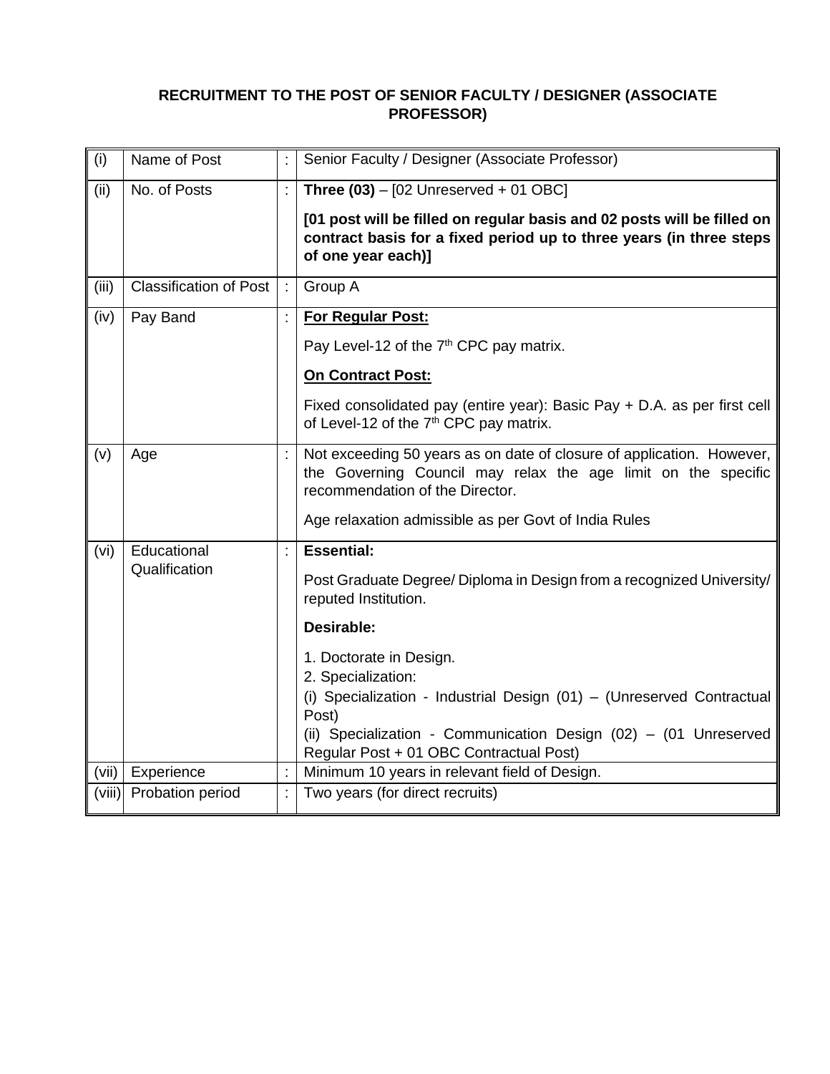## **RECRUITMENT TO THE POST OF SENIOR FACULTY / DESIGNER (ASSOCIATE PROFESSOR)**

| (i)    | Name of Post                  | Senior Faculty / Designer (Associate Professor)                                                                                                                                                                                                                                                                                                                                    |  |
|--------|-------------------------------|------------------------------------------------------------------------------------------------------------------------------------------------------------------------------------------------------------------------------------------------------------------------------------------------------------------------------------------------------------------------------------|--|
| (iii)  | No. of Posts                  | Three $(03)$ - [02 Unreserved + 01 OBC]<br>[01 post will be filled on regular basis and 02 posts will be filled on<br>contract basis for a fixed period up to three years (in three steps<br>of one year each)]                                                                                                                                                                    |  |
| (iii)  | <b>Classification of Post</b> | Group A                                                                                                                                                                                                                                                                                                                                                                            |  |
| (iv)   | Pay Band                      | For Regular Post:<br>Pay Level-12 of the 7 <sup>th</sup> CPC pay matrix.<br><b>On Contract Post:</b><br>Fixed consolidated pay (entire year): Basic Pay + D.A. as per first cell<br>of Level-12 of the 7 <sup>th</sup> CPC pay matrix.                                                                                                                                             |  |
| (v)    | Age                           | Not exceeding 50 years as on date of closure of application. However,<br>the Governing Council may relax the age limit on the specific<br>recommendation of the Director.<br>Age relaxation admissible as per Govt of India Rules                                                                                                                                                  |  |
| (vi)   | Educational<br>Qualification  | <b>Essential:</b><br>Post Graduate Degree/ Diploma in Design from a recognized University/<br>reputed Institution.<br>Desirable:<br>1. Doctorate in Design.<br>2. Specialization:<br>(i) Specialization - Industrial Design (01) - (Unreserved Contractual<br>Post)<br>(ii) Specialization - Communication Design (02) - (01 Unreserved<br>Regular Post + 01 OBC Contractual Post) |  |
| (vii)  | Experience                    | Minimum 10 years in relevant field of Design.                                                                                                                                                                                                                                                                                                                                      |  |
| (viii) | Probation period              | Two years (for direct recruits)                                                                                                                                                                                                                                                                                                                                                    |  |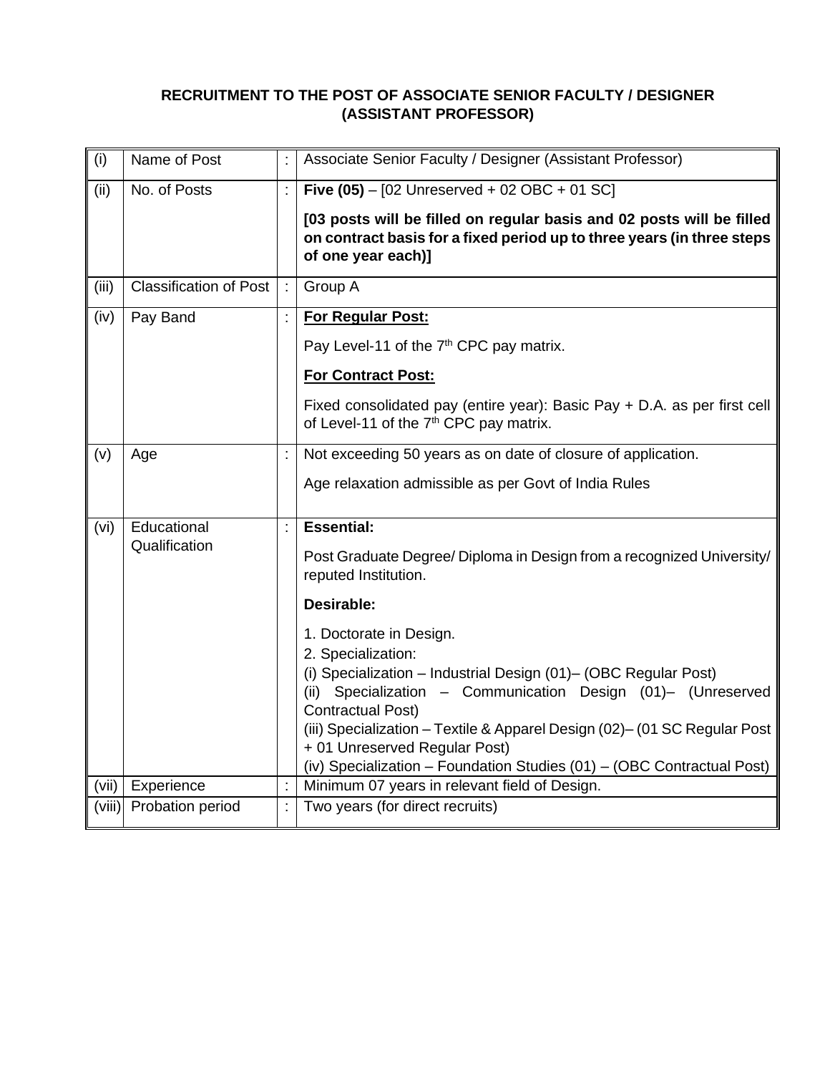## **RECRUITMENT TO THE POST OF ASSOCIATE SENIOR FACULTY / DESIGNER (ASSISTANT PROFESSOR)**

| (i)    | Name of Post                  | Associate Senior Faculty / Designer (Assistant Professor)                                                                                                                                                                                                                                                                                                                                                                                                                                                                                |  |  |
|--------|-------------------------------|------------------------------------------------------------------------------------------------------------------------------------------------------------------------------------------------------------------------------------------------------------------------------------------------------------------------------------------------------------------------------------------------------------------------------------------------------------------------------------------------------------------------------------------|--|--|
| (iii)  | No. of Posts                  | Five $(05) - [02$ Unreserved + 02 OBC + 01 SC]<br>[03 posts will be filled on regular basis and 02 posts will be filled<br>on contract basis for a fixed period up to three years (in three steps<br>of one year each)]                                                                                                                                                                                                                                                                                                                  |  |  |
| (iii)  | <b>Classification of Post</b> | Group A                                                                                                                                                                                                                                                                                                                                                                                                                                                                                                                                  |  |  |
| (iv)   | Pay Band                      | For Regular Post:<br>Pay Level-11 of the 7 <sup>th</sup> CPC pay matrix.<br><b>For Contract Post:</b><br>Fixed consolidated pay (entire year): Basic Pay + D.A. as per first cell<br>of Level-11 of the 7 <sup>th</sup> CPC pay matrix.                                                                                                                                                                                                                                                                                                  |  |  |
| (v)    | Age                           | Not exceeding 50 years as on date of closure of application.<br>Age relaxation admissible as per Govt of India Rules                                                                                                                                                                                                                                                                                                                                                                                                                     |  |  |
| (vi)   | Educational<br>Qualification  | <b>Essential:</b><br>Post Graduate Degree/ Diploma in Design from a recognized University/<br>reputed Institution.<br>Desirable:<br>1. Doctorate in Design.<br>2. Specialization:<br>(i) Specialization - Industrial Design (01)- (OBC Regular Post)<br>(ii) Specialization - Communication Design (01)- (Unreserved<br><b>Contractual Post)</b><br>(iii) Specialization - Textile & Apparel Design (02)- (01 SC Regular Post<br>+ 01 Unreserved Regular Post)<br>(iv) Specialization - Foundation Studies (01) - (OBC Contractual Post) |  |  |
| (vii)  | Experience                    | Minimum 07 years in relevant field of Design.                                                                                                                                                                                                                                                                                                                                                                                                                                                                                            |  |  |
| (viii) | Probation period              | Two years (for direct recruits)                                                                                                                                                                                                                                                                                                                                                                                                                                                                                                          |  |  |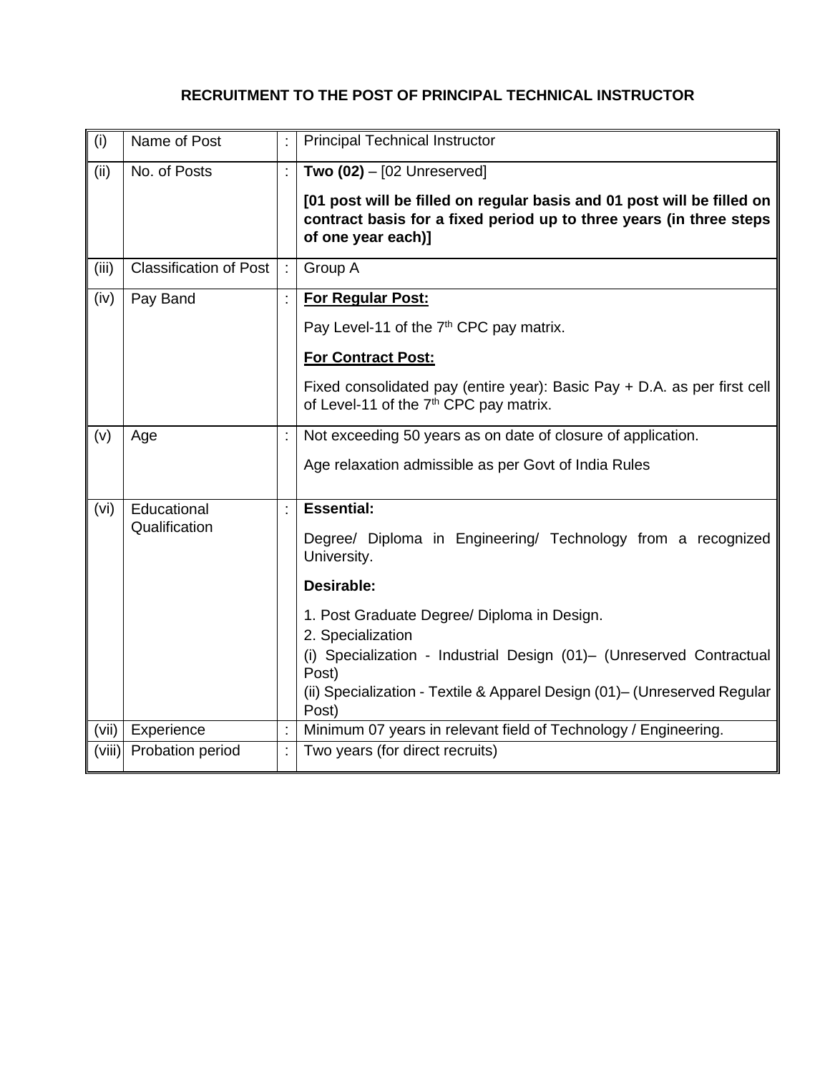# **RECRUITMENT TO THE POST OF PRINCIPAL TECHNICAL INSTRUCTOR**

| (i)    | Name of Post                  |   | <b>Principal Technical Instructor</b>                                                                                                                                                                                                                                                                                                                    |  |  |
|--------|-------------------------------|---|----------------------------------------------------------------------------------------------------------------------------------------------------------------------------------------------------------------------------------------------------------------------------------------------------------------------------------------------------------|--|--|
| (ii)   | No. of Posts                  |   | Two $(02) - [02$ Unreserved]<br>[01 post will be filled on regular basis and 01 post will be filled on<br>contract basis for a fixed period up to three years (in three steps<br>of one year each)]                                                                                                                                                      |  |  |
| (iii)  | <b>Classification of Post</b> |   | Group A                                                                                                                                                                                                                                                                                                                                                  |  |  |
| (iv)   | Pay Band                      |   | For Regular Post:<br>Pay Level-11 of the 7 <sup>th</sup> CPC pay matrix.<br><b>For Contract Post:</b><br>Fixed consolidated pay (entire year): Basic Pay + D.A. as per first cell<br>of Level-11 of the 7 <sup>th</sup> CPC pay matrix.                                                                                                                  |  |  |
| (v)    | Age                           |   | Not exceeding 50 years as on date of closure of application.<br>Age relaxation admissible as per Govt of India Rules                                                                                                                                                                                                                                     |  |  |
| (vi)   | Educational<br>Qualification  |   | <b>Essential:</b><br>Degree/ Diploma in Engineering/ Technology from a recognized<br>University.<br>Desirable:<br>1. Post Graduate Degree/ Diploma in Design.<br>2. Specialization<br>(i) Specialization - Industrial Design (01)- (Unreserved Contractual<br>Post)<br>(ii) Specialization - Textile & Apparel Design (01)- (Unreserved Regular<br>Post) |  |  |
| (vii)  | Experience                    | ÷ | Minimum 07 years in relevant field of Technology / Engineering.                                                                                                                                                                                                                                                                                          |  |  |
| (viii) | Probation period              |   | Two years (for direct recruits)                                                                                                                                                                                                                                                                                                                          |  |  |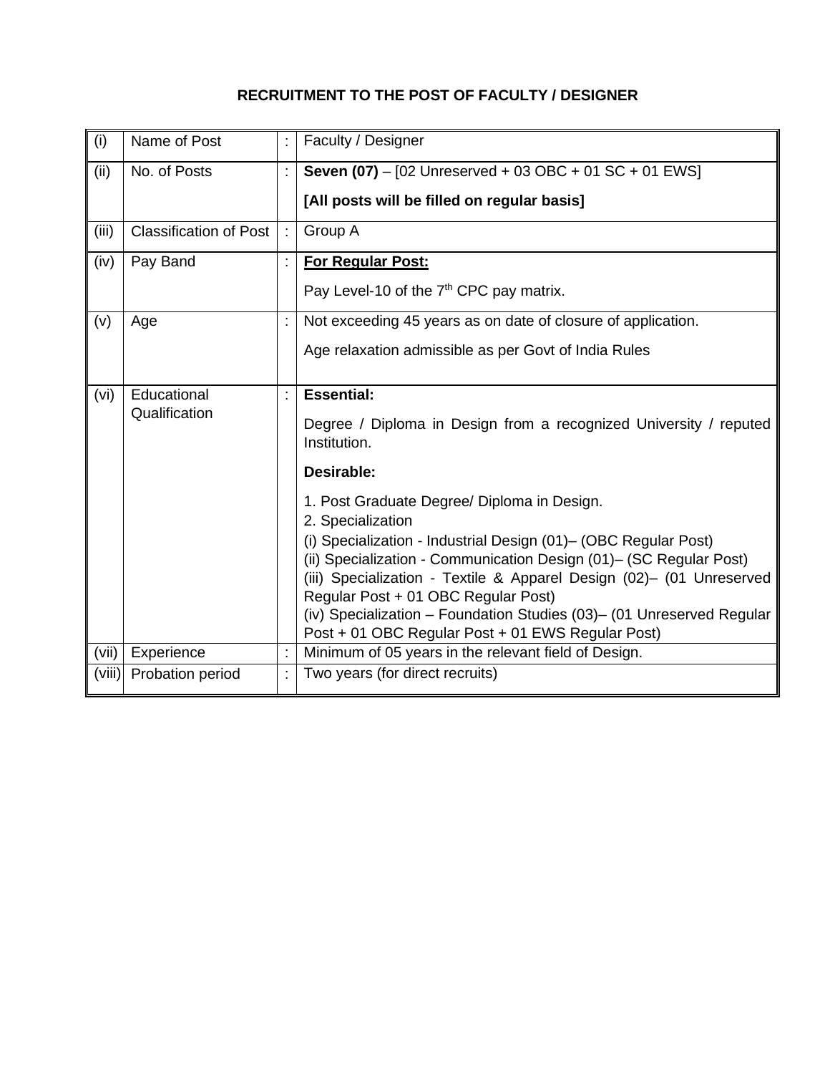# **RECRUITMENT TO THE POST OF FACULTY / DESIGNER**

| (i)    | Name of Post                  | Faculty / Designer                                                                                                                                                                                                                                                                                                                                                                 |
|--------|-------------------------------|------------------------------------------------------------------------------------------------------------------------------------------------------------------------------------------------------------------------------------------------------------------------------------------------------------------------------------------------------------------------------------|
| (ii)   | No. of Posts                  | <b>Seven (07)</b> - [02 Unreserved + 03 OBC + 01 SC + 01 EWS]                                                                                                                                                                                                                                                                                                                      |
|        |                               | [All posts will be filled on regular basis]                                                                                                                                                                                                                                                                                                                                        |
| (iii)  | <b>Classification of Post</b> | Group A                                                                                                                                                                                                                                                                                                                                                                            |
| (iv)   | Pay Band                      | For Regular Post:                                                                                                                                                                                                                                                                                                                                                                  |
|        |                               | Pay Level-10 of the 7 <sup>th</sup> CPC pay matrix.                                                                                                                                                                                                                                                                                                                                |
| (v)    | Age                           | Not exceeding 45 years as on date of closure of application.                                                                                                                                                                                                                                                                                                                       |
|        |                               | Age relaxation admissible as per Govt of India Rules                                                                                                                                                                                                                                                                                                                               |
| (vi)   | Educational                   | <b>Essential:</b>                                                                                                                                                                                                                                                                                                                                                                  |
|        | Qualification                 | Degree / Diploma in Design from a recognized University / reputed<br>Institution.                                                                                                                                                                                                                                                                                                  |
|        |                               | <b>Desirable:</b>                                                                                                                                                                                                                                                                                                                                                                  |
|        |                               | 1. Post Graduate Degree/ Diploma in Design.<br>2. Specialization                                                                                                                                                                                                                                                                                                                   |
|        |                               | (i) Specialization - Industrial Design (01)– (OBC Regular Post)<br>(ii) Specialization - Communication Design (01)- (SC Regular Post)<br>(iii) Specialization - Textile & Apparel Design (02)- (01 Unreserved<br>Regular Post + 01 OBC Regular Post)<br>(iv) Specialization - Foundation Studies (03)- (01 Unreserved Regular<br>Post + 01 OBC Regular Post + 01 EWS Regular Post) |
| (vii)  | Experience                    | Minimum of 05 years in the relevant field of Design.                                                                                                                                                                                                                                                                                                                               |
| (viii) | Probation period              | Two years (for direct recruits)                                                                                                                                                                                                                                                                                                                                                    |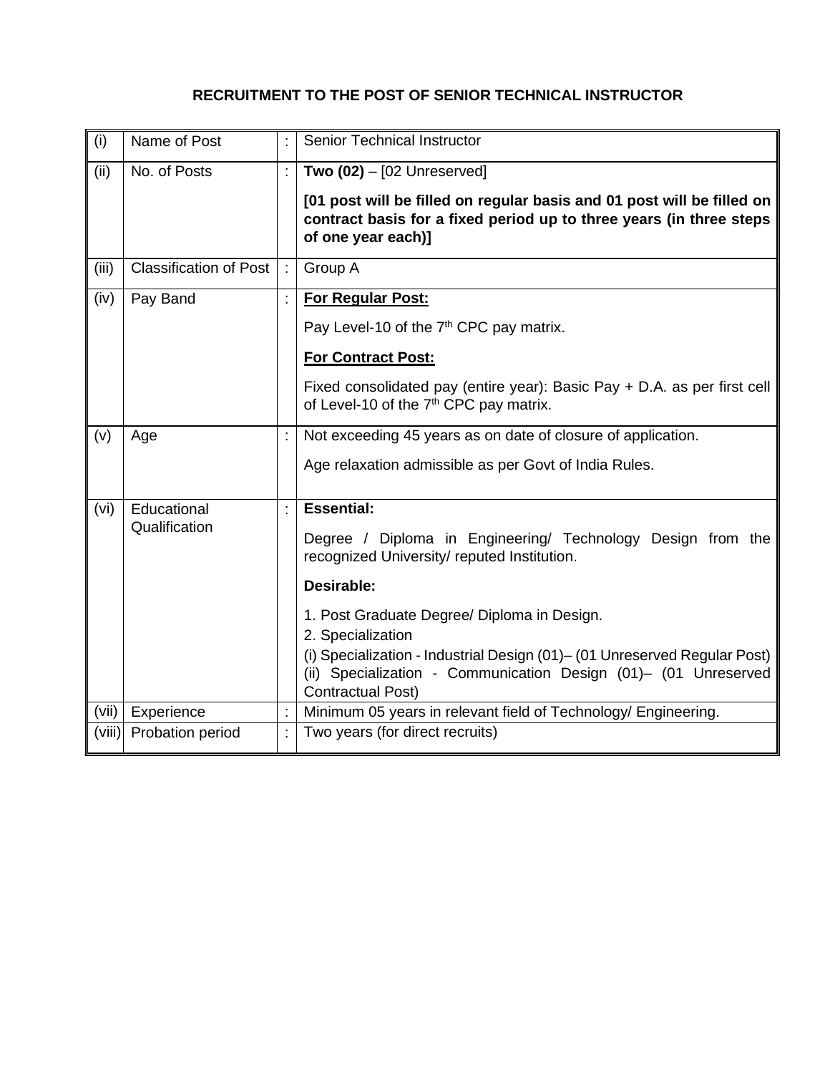# **RECRUITMENT TO THE POST OF SENIOR TECHNICAL INSTRUCTOR**

| (i)    | Name of Post                  | <b>Senior Technical Instructor</b>                                                                                                                                  |  |  |
|--------|-------------------------------|---------------------------------------------------------------------------------------------------------------------------------------------------------------------|--|--|
| (ii)   | No. of Posts                  | Two $(02) - [02$ Unreserved]                                                                                                                                        |  |  |
|        |                               | [01 post will be filled on regular basis and 01 post will be filled on<br>contract basis for a fixed period up to three years (in three steps<br>of one year each)] |  |  |
| (iii)  | <b>Classification of Post</b> | Group A                                                                                                                                                             |  |  |
| (iv)   | Pay Band                      | For Regular Post:                                                                                                                                                   |  |  |
|        |                               | Pay Level-10 of the 7 <sup>th</sup> CPC pay matrix.                                                                                                                 |  |  |
|        |                               | <b>For Contract Post:</b>                                                                                                                                           |  |  |
|        |                               | Fixed consolidated pay (entire year): Basic Pay + D.A. as per first cell<br>of Level-10 of the 7 <sup>th</sup> CPC pay matrix.                                      |  |  |
| (v)    | Age                           | Not exceeding 45 years as on date of closure of application.                                                                                                        |  |  |
|        |                               | Age relaxation admissible as per Govt of India Rules.                                                                                                               |  |  |
| (vi)   | Educational                   | <b>Essential:</b>                                                                                                                                                   |  |  |
|        | Qualification                 | Degree / Diploma in Engineering/ Technology Design from the<br>recognized University/ reputed Institution.                                                          |  |  |
|        |                               | Desirable:                                                                                                                                                          |  |  |
|        |                               | 1. Post Graduate Degree/ Diploma in Design.<br>2. Specialization<br>(i) Specialization - Industrial Design (01) - (01 Unreserved Regular Post)                      |  |  |
|        |                               | (ii) Specialization - Communication Design (01)- (01 Unreserved<br><b>Contractual Post)</b>                                                                         |  |  |
| (vii)  | Experience                    | Minimum 05 years in relevant field of Technology/ Engineering.                                                                                                      |  |  |
| (viii) | Probation period              | Two years (for direct recruits)                                                                                                                                     |  |  |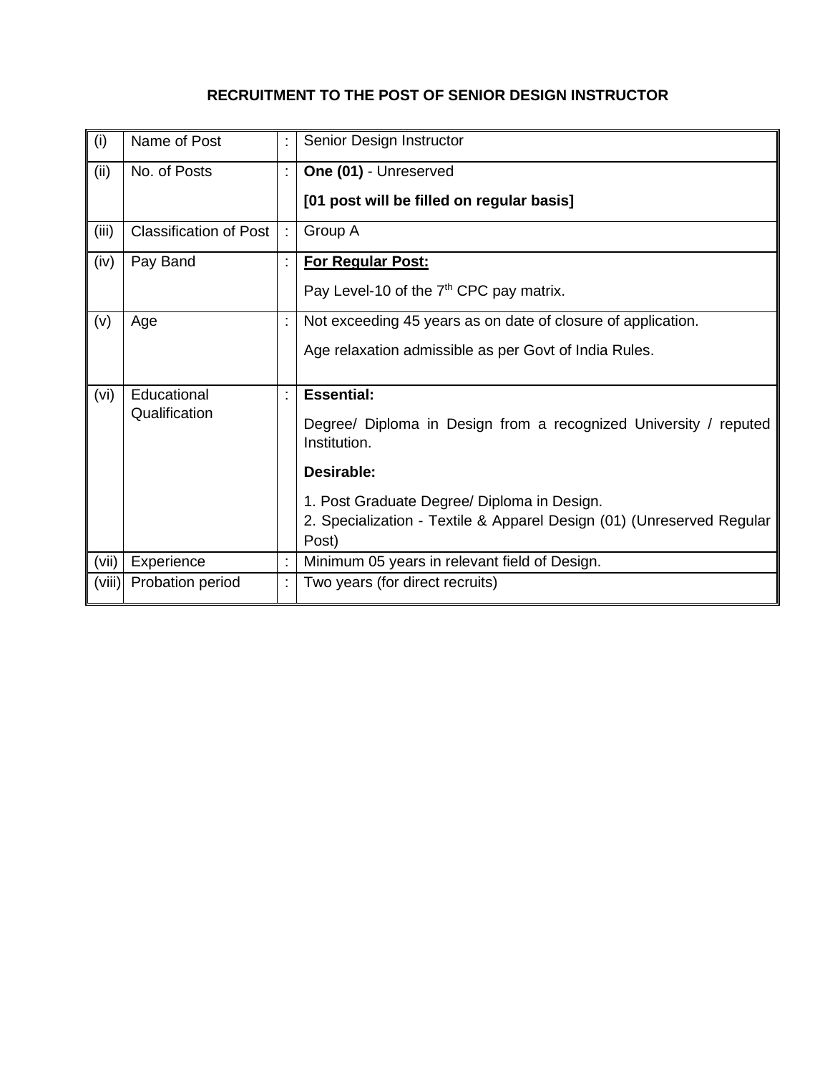# **RECRUITMENT TO THE POST OF SENIOR DESIGN INSTRUCTOR**

| (i)    | Name of Post                  | Senior Design Instructor                                                         |
|--------|-------------------------------|----------------------------------------------------------------------------------|
| (ii)   | No. of Posts                  | One (01) - Unreserved                                                            |
|        |                               | [01 post will be filled on regular basis]                                        |
| (iii)  | <b>Classification of Post</b> | Group A                                                                          |
| (iv)   | Pay Band                      | <b>For Regular Post:</b>                                                         |
|        |                               | Pay Level-10 of the 7 <sup>th</sup> CPC pay matrix.                              |
| (v)    | Age                           | Not exceeding 45 years as on date of closure of application.                     |
|        |                               | Age relaxation admissible as per Govt of India Rules.                            |
| (vi)   | Educational                   | <b>Essential:</b>                                                                |
|        | Qualification                 | Degree/ Diploma in Design from a recognized University / reputed<br>Institution. |
|        |                               | Desirable:                                                                       |
|        |                               | 1. Post Graduate Degree/ Diploma in Design.                                      |
|        |                               | 2. Specialization - Textile & Apparel Design (01) (Unreserved Regular<br>Post)   |
| (vii)  | Experience                    | Minimum 05 years in relevant field of Design.                                    |
| (viii) | Probation period              | Two years (for direct recruits)                                                  |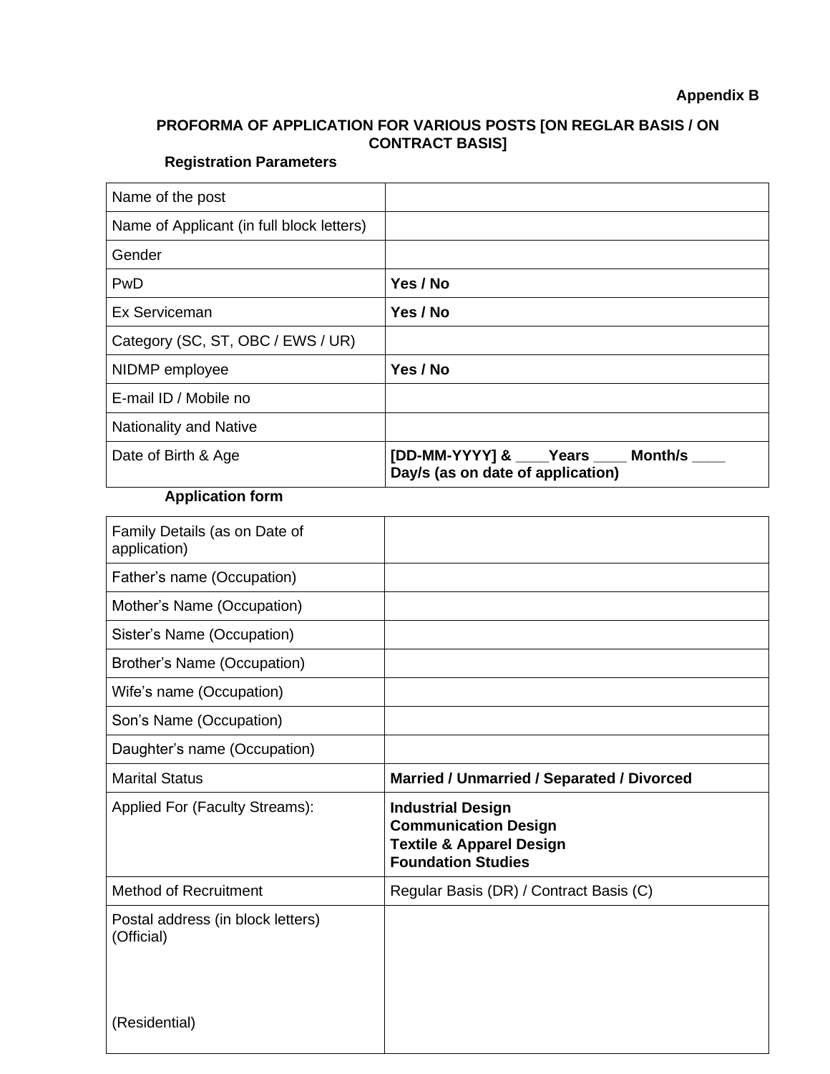## **PROFORMA OF APPLICATION FOR VARIOUS POSTS [ON REGLAR BASIS / ON CONTRACT BASIS]**

# **Registration Parameters**

| Name of the post                          |                                                                                 |
|-------------------------------------------|---------------------------------------------------------------------------------|
| Name of Applicant (in full block letters) |                                                                                 |
| Gender                                    |                                                                                 |
| PwD                                       | Yes / No                                                                        |
| Ex Serviceman                             | Yes / No                                                                        |
| Category (SC, ST, OBC / EWS / UR)         |                                                                                 |
| NIDMP employee                            | Yes / No                                                                        |
| E-mail ID / Mobile no                     |                                                                                 |
| <b>Nationality and Native</b>             |                                                                                 |
| Date of Birth & Age                       | [DD-MM-YYYY] & ____Years ____ Month/s ____<br>Day/s (as on date of application) |

# **Application form**

| Family Details (as on Date of<br>application)   |                                                                                                                             |
|-------------------------------------------------|-----------------------------------------------------------------------------------------------------------------------------|
| Father's name (Occupation)                      |                                                                                                                             |
| Mother's Name (Occupation)                      |                                                                                                                             |
| Sister's Name (Occupation)                      |                                                                                                                             |
| Brother's Name (Occupation)                     |                                                                                                                             |
| Wife's name (Occupation)                        |                                                                                                                             |
| Son's Name (Occupation)                         |                                                                                                                             |
| Daughter's name (Occupation)                    |                                                                                                                             |
| <b>Marital Status</b>                           | Married / Unmarried / Separated / Divorced                                                                                  |
| Applied For (Faculty Streams):                  | <b>Industrial Design</b><br><b>Communication Design</b><br><b>Textile &amp; Apparel Design</b><br><b>Foundation Studies</b> |
| <b>Method of Recruitment</b>                    | Regular Basis (DR) / Contract Basis (C)                                                                                     |
| Postal address (in block letters)<br>(Official) |                                                                                                                             |
| (Residential)                                   |                                                                                                                             |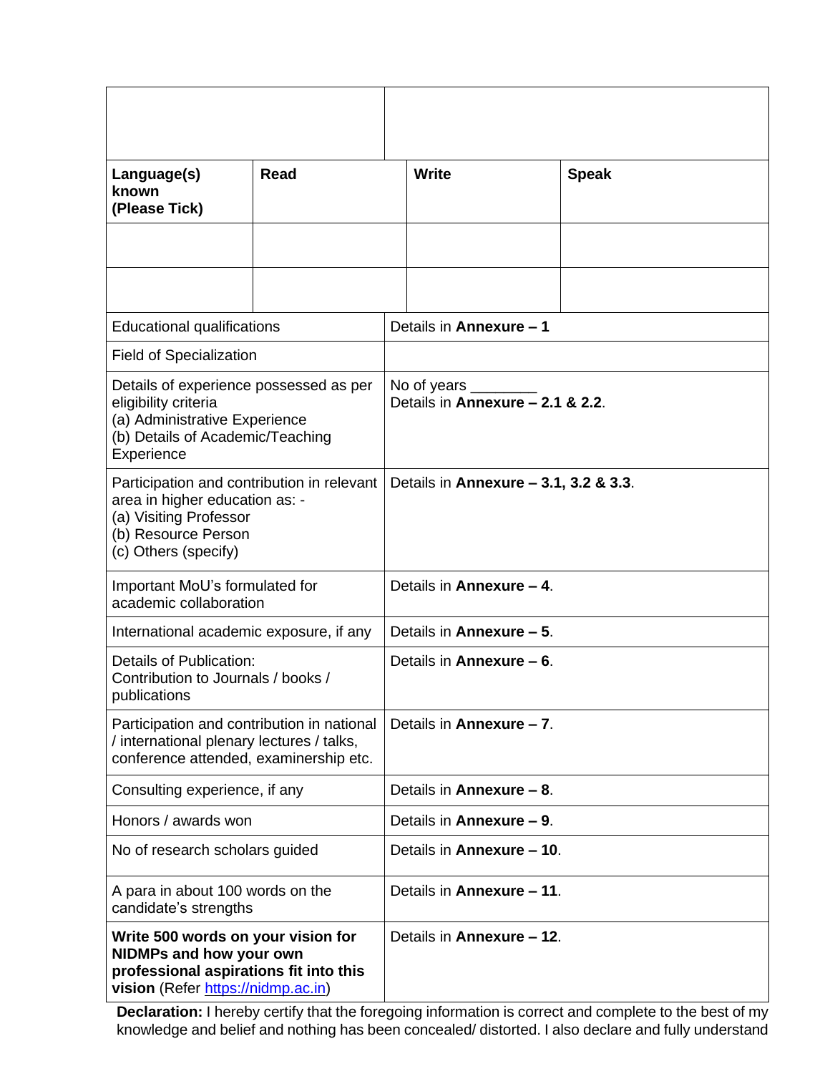| Language(s)<br>known<br>(Please Tick)                                                                                                                 | <b>Read</b> |                                                       | <b>Write</b>              | <b>Speak</b> |  |  |
|-------------------------------------------------------------------------------------------------------------------------------------------------------|-------------|-------------------------------------------------------|---------------------------|--------------|--|--|
|                                                                                                                                                       |             |                                                       |                           |              |  |  |
|                                                                                                                                                       |             |                                                       |                           |              |  |  |
| <b>Educational qualifications</b>                                                                                                                     |             |                                                       | Details in Annexure - 1   |              |  |  |
| <b>Field of Specialization</b>                                                                                                                        |             |                                                       |                           |              |  |  |
| Details of experience possessed as per<br>eligibility criteria<br>(a) Administrative Experience<br>(b) Details of Academic/Teaching<br>Experience     |             | No of years _____<br>Details in Annexure - 2.1 & 2.2. |                           |              |  |  |
| Participation and contribution in relevant<br>area in higher education as: -<br>(a) Visiting Professor<br>(b) Resource Person<br>(c) Others (specify) |             | Details in Annexure - 3.1, 3.2 & 3.3.                 |                           |              |  |  |
| Important MoU's formulated for<br>academic collaboration                                                                                              |             | Details in Annexure - 4.                              |                           |              |  |  |
| International academic exposure, if any                                                                                                               |             |                                                       | Details in Annexure - 5.  |              |  |  |
| Details of Publication:<br>Contribution to Journals / books /<br>publications                                                                         |             | Details in Annexure - 6.                              |                           |              |  |  |
| Participation and contribution in national<br>/ international plenary lectures / talks,<br>conference attended, examinership etc.                     |             | Details in Annexure - 7.                              |                           |              |  |  |
| Consulting experience, if any                                                                                                                         |             | Details in Annexure - 8.                              |                           |              |  |  |
| Honors / awards won                                                                                                                                   |             |                                                       | Details in Annexure - 9.  |              |  |  |
| No of research scholars guided                                                                                                                        |             |                                                       | Details in Annexure - 10. |              |  |  |
| A para in about 100 words on the<br>candidate's strengths                                                                                             |             | Details in Annexure - 11.                             |                           |              |  |  |
| Write 500 words on your vision for<br><b>NIDMPs and how your own</b><br>professional aspirations fit into this<br>vision (Refer https://nidmp.ac.in)  |             |                                                       | Details in Annexure - 12. |              |  |  |

**Declaration:** I hereby certify that the foregoing information is correct and complete to the best of my knowledge and belief and nothing has been concealed/ distorted. I also declare and fully understand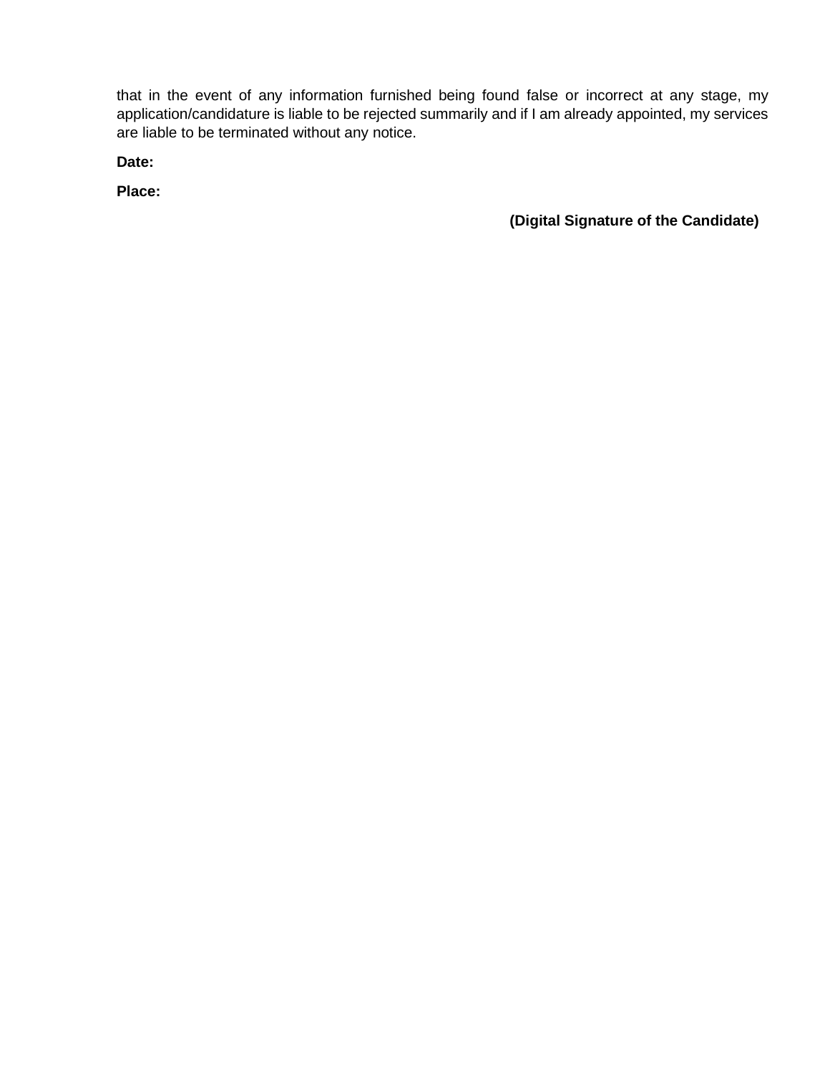that in the event of any information furnished being found false or incorrect at any stage, my application/candidature is liable to be rejected summarily and if I am already appointed, my services are liable to be terminated without any notice.

**Date:** 

**Place:**

**(Digital Signature of the Candidate)**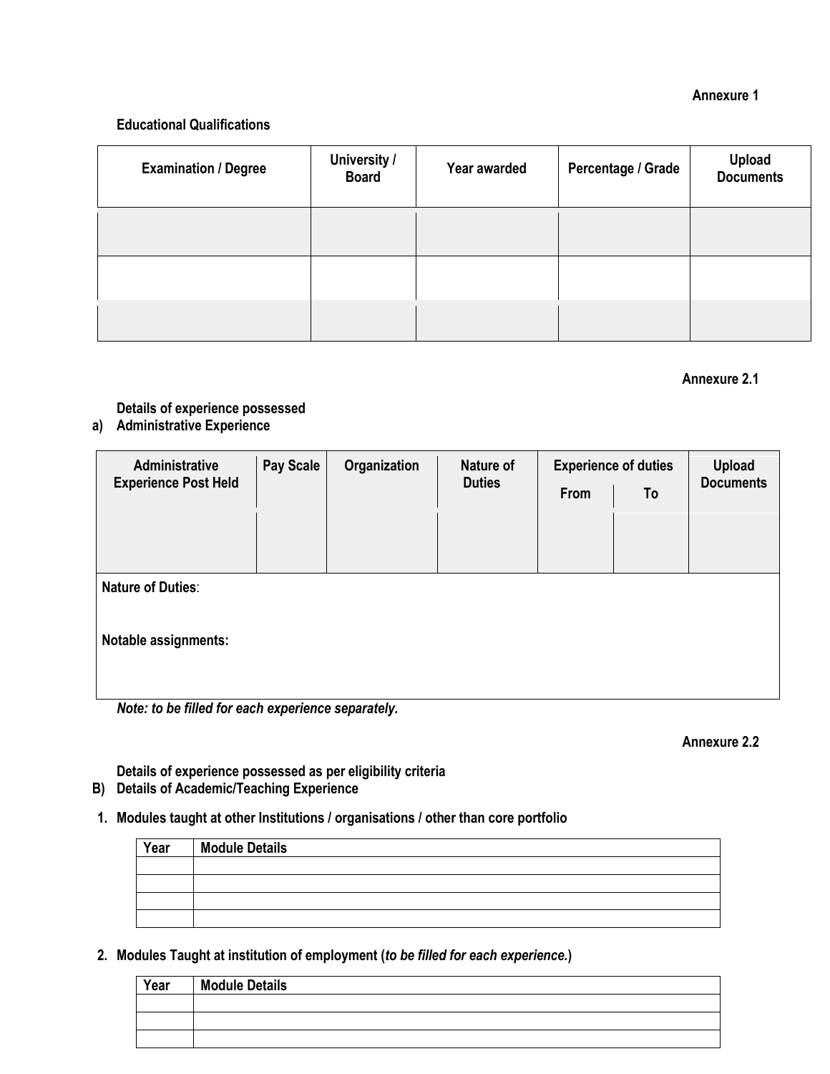#### **Annexure 1**

### **Educational Qualifications**

| <b>Examination / Degree</b> | University /<br><b>Board</b> | Year awarded | Percentage / Grade | Upload<br>Documents |
|-----------------------------|------------------------------|--------------|--------------------|---------------------|
|                             |                              |              |                    |                     |
|                             |                              |              |                    |                     |
|                             |                              |              |                    |                     |

### **Annexure 2.1**

**Details of experience possessed**

## **a) Administrative Experience**

| Administrative              | <b>Pay Scale</b> | Organization | Nature of     | <b>Experience of duties</b> |    | <b>Upload</b>    |
|-----------------------------|------------------|--------------|---------------|-----------------------------|----|------------------|
| <b>Experience Post Held</b> |                  |              | <b>Duties</b> | From                        | To | <b>Documents</b> |
|                             |                  |              |               |                             |    |                  |
|                             |                  |              |               |                             |    |                  |
| <b>Nature of Duties:</b>    |                  |              |               |                             |    |                  |
|                             |                  |              |               |                             |    |                  |
| <b>Notable assignments:</b> |                  |              |               |                             |    |                  |
|                             |                  |              |               |                             |    |                  |
|                             |                  |              |               |                             |    |                  |

*Note: to be filled for each experience separately.*

#### **Annexure 2.2**

**Details of experience possessed as per eligibility criteria B) Details of Academic/Teaching Experience**

## **1. Modules taught at other Institutions / organisations / other than core portfolio**

| Year | <b>Module Details</b> |
|------|-----------------------|
|      |                       |
|      |                       |
|      |                       |
|      |                       |

**2. Modules Taught at institution of employment (***to be filled for each experience.***)**

| Year | <b>Module Details</b> |
|------|-----------------------|
|      |                       |
|      |                       |
|      |                       |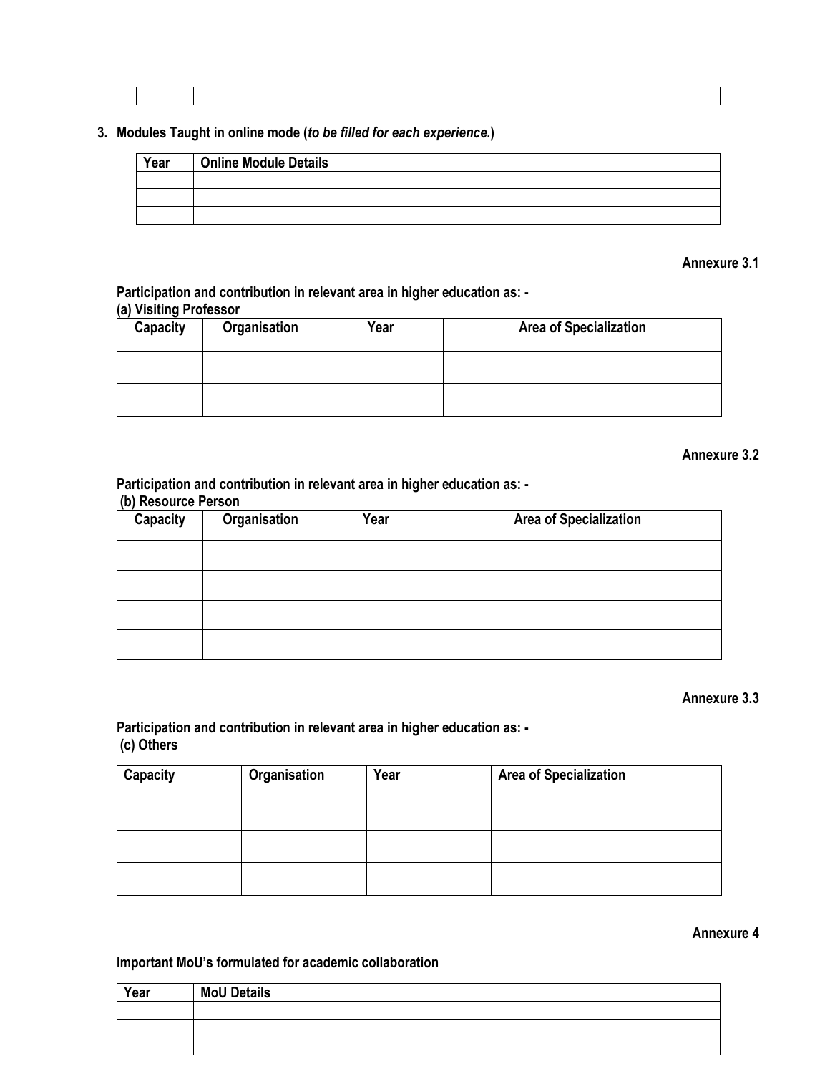|  | 3. Modules Taught in online mode (to be filled for each experience.) |  |  |
|--|----------------------------------------------------------------------|--|--|
|  |                                                                      |  |  |

| Year | <b>Online Module Details</b> |
|------|------------------------------|
|      |                              |
|      |                              |
|      |                              |

#### **Annexure 3.1**

**Participation and contribution in relevant area in higher education as: - (a) Visiting Professor**

| <b>Capacity</b> | Organisation | Year | <b>Area of Specialization</b> |
|-----------------|--------------|------|-------------------------------|
|                 |              |      |                               |
|                 |              |      |                               |

### **Annexure 3.2**

#### **Participation and contribution in relevant area in higher education as: -**

#### **(b) Resource Person**

| Capacity | Organisation | Year | <b>Area of Specialization</b> |
|----------|--------------|------|-------------------------------|
|          |              |      |                               |
|          |              |      |                               |
|          |              |      |                               |
|          |              |      |                               |

#### **Annexure 3.3**

## **Participation and contribution in relevant area in higher education as: - (c) Others**

| Capacity | Organisation | Year | <b>Area of Specialization</b> |
|----------|--------------|------|-------------------------------|
|          |              |      |                               |
|          |              |      |                               |
|          |              |      |                               |

## **Annexure 4**

#### **Important MoU's formulated for academic collaboration**

| Year | <b>MoU Details</b> |
|------|--------------------|
|      |                    |
|      |                    |
|      |                    |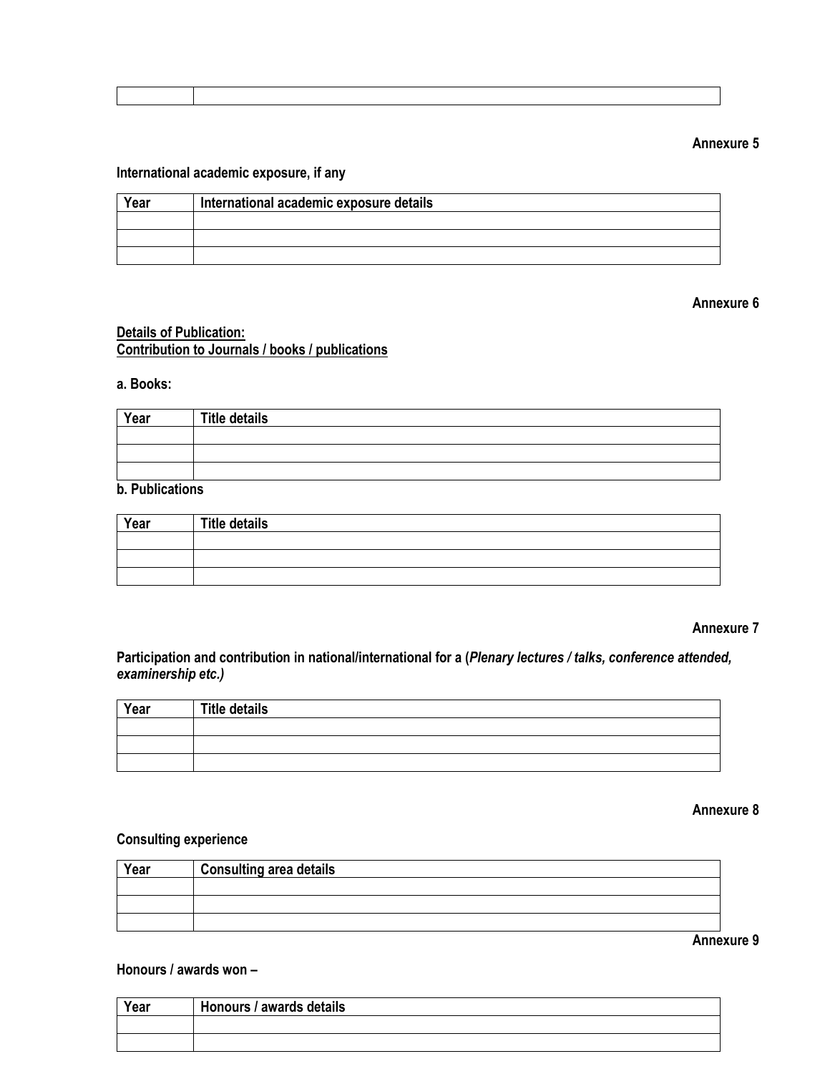| <b>Annexure 5</b> |  |
|-------------------|--|
|-------------------|--|

## **International academic exposure, if any**

| Year | International academic exposure details |  |
|------|-----------------------------------------|--|
|      |                                         |  |
|      |                                         |  |
|      |                                         |  |

#### **Annexure 6**

## **Details of Publication: Contribution to Journals / books / publications**

#### **a. Books:**

| Year | <b>Title details</b> |
|------|----------------------|
|      |                      |
|      |                      |
|      |                      |

## **b. Publications**

| Year | <b>Title details</b> |
|------|----------------------|
|      |                      |
|      |                      |
|      |                      |

#### **Annexure 7**

**Participation and contribution in national/international for a (***Plenary lectures / talks, conference attended, examinership etc.)*

| Year | <b>Title details</b> |
|------|----------------------|
|      |                      |
|      |                      |
|      |                      |

### **Annexure 8**

## **Consulting experience**

| Year | <b>Consulting area details</b> |
|------|--------------------------------|
|      |                                |
|      |                                |
|      |                                |

**Annexure 9**

#### **Honours / awards won –**

| Year | Honours / awards details |
|------|--------------------------|
|      |                          |
|      |                          |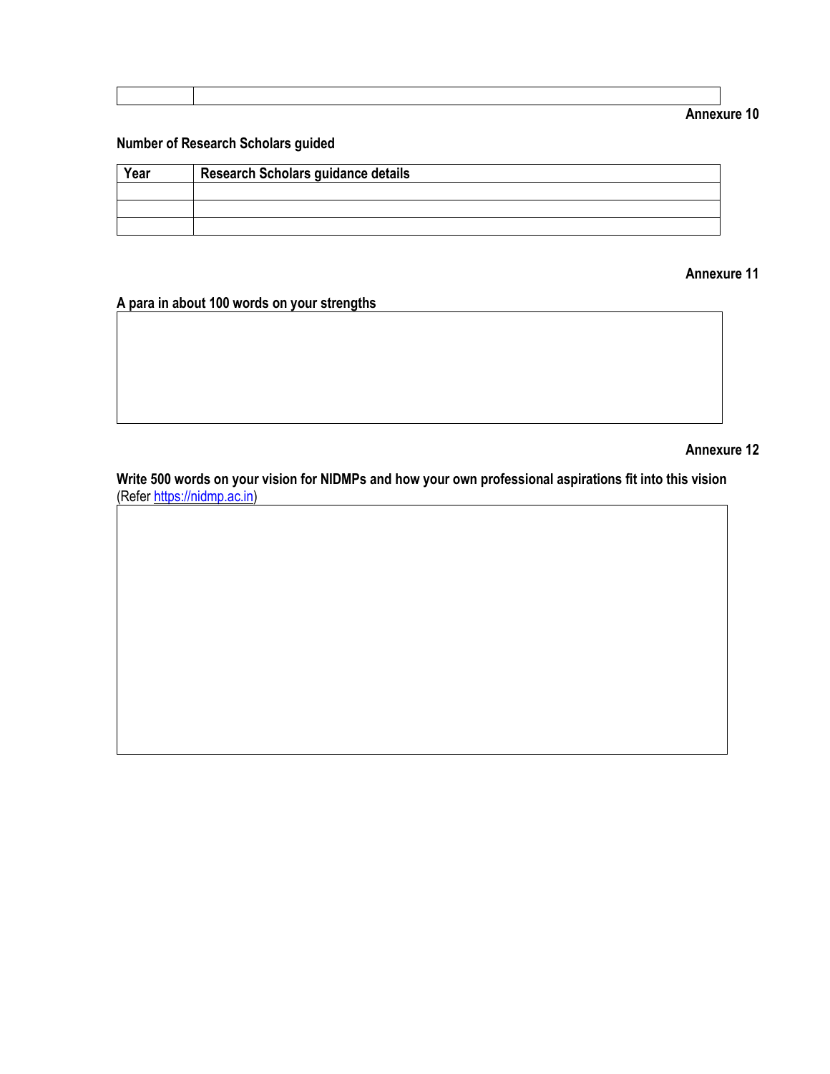| Annexure 10 |  |
|-------------|--|
|-------------|--|

## **Number of Research Scholars guided**

| Year | <b>Research Scholars guidance details</b> |
|------|-------------------------------------------|
|      |                                           |
|      |                                           |
|      |                                           |

## **Annexure 11**

# **A para in about 100 words on your strengths**

#### **Annexure 12**

Write 500 words on your vision for NIDMPs and how your own professional aspirations fit into this vision (Refer [https://nidmp.ac.in\)](https://nidmp.ac.in/)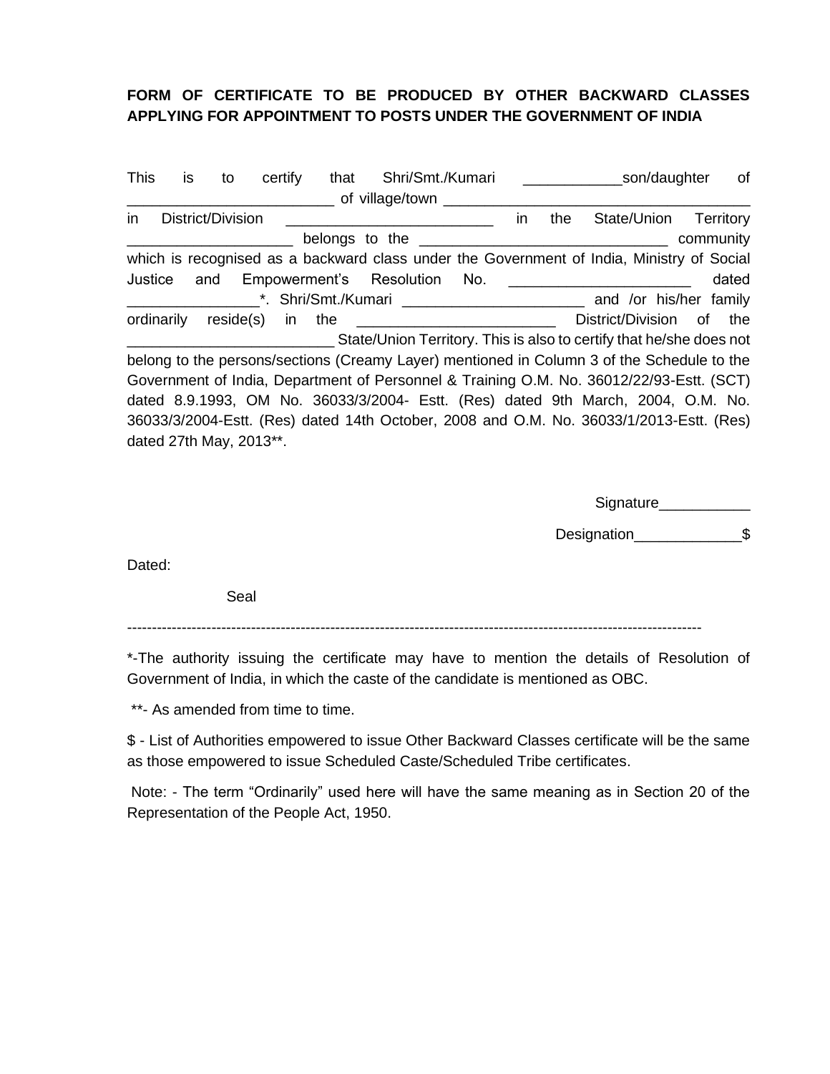## **FORM OF CERTIFICATE TO BE PRODUCED BY OTHER BACKWARD CLASSES APPLYING FOR APPOINTMENT TO POSTS UNDER THE GOVERNMENT OF INDIA**

| <b>This</b> | is | to                      |           | certify | that | Shri/Smt./Kumari                                                                                               |     |    |     |                   | son/daughter           |           | of               |
|-------------|----|-------------------------|-----------|---------|------|----------------------------------------------------------------------------------------------------------------|-----|----|-----|-------------------|------------------------|-----------|------------------|
|             |    |                         |           |         |      | of village/town __                                                                                             |     |    |     |                   |                        |           |                  |
| in          |    | District/Division       |           |         |      |                                                                                                                |     | in | the | State/Union       |                        |           | <b>Territory</b> |
|             |    |                         |           |         |      | belongs to the contract of the contract of the contract of the contract of the contract of the contract of the |     |    |     |                   |                        | community |                  |
|             |    |                         |           |         |      | which is recognised as a backward class under the Government of India, Ministry of Social                      |     |    |     |                   |                        |           |                  |
| Justice     |    | and                     |           |         |      | Empowerment's Resolution                                                                                       | No. |    |     |                   |                        |           | dated            |
|             |    |                         |           |         |      | *. Shri/Smt./Kumari                                                                                            |     |    |     |                   | and /or his/her family |           |                  |
| ordinarily  |    |                         | reside(s) | in      | the  |                                                                                                                |     |    |     | District/Division |                        | of the    |                  |
|             |    |                         |           |         |      | State/Union Territory. This is also to certify that he/she does not                                            |     |    |     |                   |                        |           |                  |
|             |    |                         |           |         |      | belong to the persons/sections (Creamy Layer) mentioned in Column 3 of the Schedule to the                     |     |    |     |                   |                        |           |                  |
|             |    |                         |           |         |      | Government of India, Department of Personnel & Training O.M. No. 36012/22/93-Estt. (SCT)                       |     |    |     |                   |                        |           |                  |
|             |    |                         |           |         |      | dated 8.9.1993, OM No. 36033/3/2004- Estt. (Res) dated 9th March, 2004, O.M. No.                               |     |    |     |                   |                        |           |                  |
|             |    |                         |           |         |      | 36033/3/2004-Estt. (Res) dated 14th October, 2008 and O.M. No. 36033/1/2013-Estt. (Res)                        |     |    |     |                   |                        |           |                  |
|             |    | dated 27th May, 2013**. |           |         |      |                                                                                                                |     |    |     |                   |                        |           |                  |

Signature\_\_\_\_\_\_\_\_\_\_\_\_\_\_\_

Designation **\$** 

Dated:

Seal

--------------------------------------------------------------------------------------------------------------------

\*-The authority issuing the certificate may have to mention the details of Resolution of Government of India, in which the caste of the candidate is mentioned as OBC.

\*\*- As amended from time to time.

\$ - List of Authorities empowered to issue Other Backward Classes certificate will be the same as those empowered to issue Scheduled Caste/Scheduled Tribe certificates.

Note: - The term "Ordinarily" used here will have the same meaning as in Section 20 of the Representation of the People Act, 1950.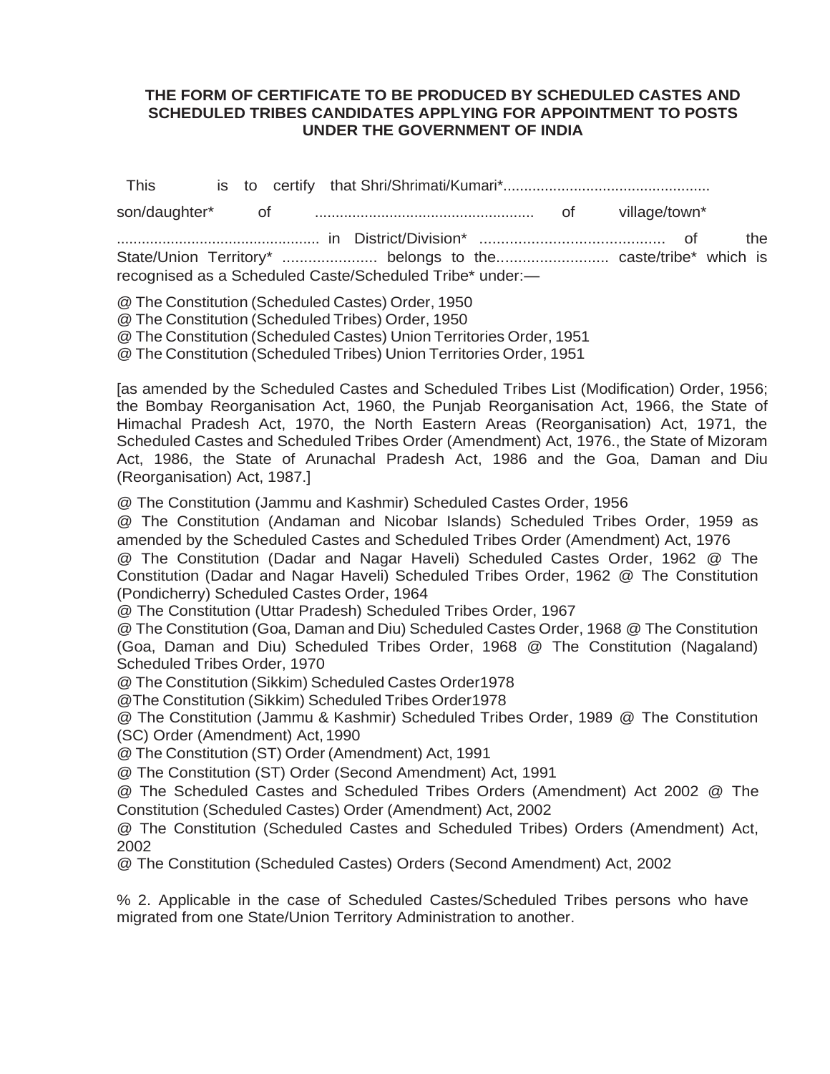## **THE FORM OF CERTIFICATE TO BE PRODUCED BY SCHEDULED CASTES AND SCHEDULED TRIBES CANDIDATES APPLYING FOR APPOINTMENT TO POSTS UNDER THE GOVERNMENT OF INDIA**

| This |  |  |                                                                                                                          |  |  |      |
|------|--|--|--------------------------------------------------------------------------------------------------------------------------|--|--|------|
|      |  |  |                                                                                                                          |  |  |      |
|      |  |  | State/Union Territory*  belongs to the caste/tribe* which is<br>recognised as a Scheduled Caste/Scheduled Tribe* under:- |  |  | the. |

@ The Constitution (Scheduled Castes) Order, 1950 @ The Constitution (Scheduled Tribes) Order, 1950 @ The Constitution (Scheduled Castes) Union Territories Order, 1951 @ The Constitution (Scheduled Tribes) Union Territories Order, 1951

[as amended by the Scheduled Castes and Scheduled Tribes List (Modification) Order, 1956; the Bombay Reorganisation Act, 1960, the Punjab Reorganisation Act, 1966, the State of Himachal Pradesh Act, 1970, the North Eastern Areas (Reorganisation) Act, 1971, the Scheduled Castes and Scheduled Tribes Order (Amendment) Act, 1976., the State of Mizoram Act, 1986, the State of Arunachal Pradesh Act, 1986 and the Goa, Daman and Diu (Reorganisation) Act, 1987.]

@ The Constitution (Jammu and Kashmir) Scheduled Castes Order, 1956

@ The Constitution (Andaman and Nicobar Islands) Scheduled Tribes Order, 1959 as amended by the Scheduled Castes and Scheduled Tribes Order (Amendment) Act, 1976 @ The Constitution (Dadar and Nagar Haveli) Scheduled Castes Order, 1962 @ The Constitution (Dadar and Nagar Haveli) Scheduled Tribes Order, 1962 @ The Constitution (Pondicherry) Scheduled Castes Order, 1964

@ The Constitution (Uttar Pradesh) Scheduled Tribes Order, 1967

@ The Constitution (Goa, Daman and Diu) Scheduled Castes Order, 1968 @ The Constitution (Goa, Daman and Diu) Scheduled Tribes Order, 1968 @ The Constitution (Nagaland) Scheduled Tribes Order, 1970

@ The Constitution (Sikkim) Scheduled Castes Order1978

@The Constitution (Sikkim) Scheduled Tribes Order1978

@ The Constitution (Jammu & Kashmir) Scheduled Tribes Order, 1989 @ The Constitution (SC) Order (Amendment) Act, 1990

@ The Constitution (ST) Order (Amendment) Act, 1991

@ The Constitution (ST) Order (Second Amendment) Act, 1991

@ The Scheduled Castes and Scheduled Tribes Orders (Amendment) Act 2002 @ The Constitution (Scheduled Castes) Order (Amendment) Act, 2002

@ The Constitution (Scheduled Castes and Scheduled Tribes) Orders (Amendment) Act, 2002

@ The Constitution (Scheduled Castes) Orders (Second Amendment) Act, 2002

% 2. Applicable in the case of Scheduled Castes/Scheduled Tribes persons who have migrated from one State/Union Territory Administration to another.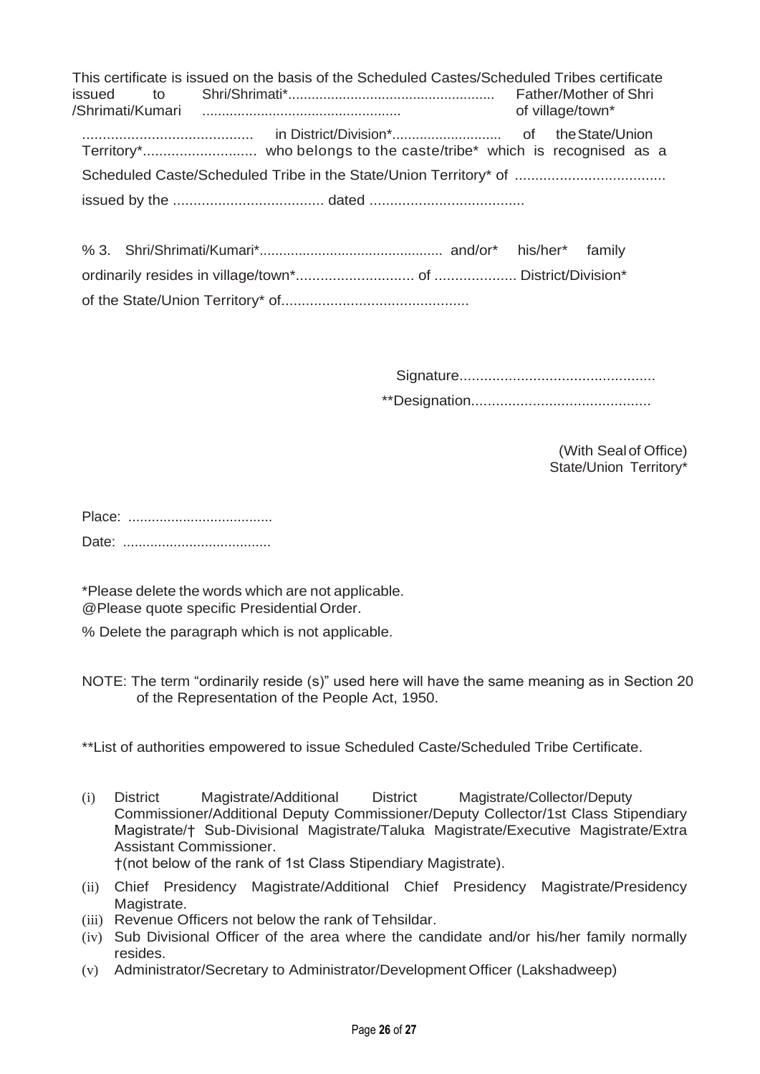|  | This certificate is issued on the basis of the Scheduled Castes/Scheduled Tribes certificate |  | of village/town* |  |
|--|----------------------------------------------------------------------------------------------|--|------------------|--|
|  |                                                                                              |  |                  |  |
|  |                                                                                              |  |                  |  |
|  |                                                                                              |  |                  |  |

Signature................................................

\*\*Designation............................................

(With Sealof Office) State/Union Territory\*

\*Please delete the words which are not applicable. @Please quote specific Presidential Order.

% Delete the paragraph which is not applicable.

NOTE: The term "ordinarily reside (s)" used here will have the same meaning as in Section 20 of the Representation of the People Act, 1950.

\*\*List of authorities empowered to issue Scheduled Caste/Scheduled Tribe Certificate.

- (i) District Magistrate/Additional District Magistrate/Collector/Deputy Commissioner/Additional Deputy Commissioner/Deputy Collector/1st Class Stipendiary Magistrate/† Sub-Divisional Magistrate/Taluka Magistrate/Executive Magistrate/Extra Assistant Commissioner. †(not below of the rank of 1st Class Stipendiary Magistrate).
- (ii) Chief Presidency Magistrate/Additional Chief Presidency Magistrate/Presidency Magistrate.
- (iii) Revenue Officers not below the rank of Tehsildar.
- (iv) Sub Divisional Officer of the area where the candidate and/or his/her family normally resides.
- (v) Administrator/Secretary to Administrator/Development Officer (Lakshadweep)